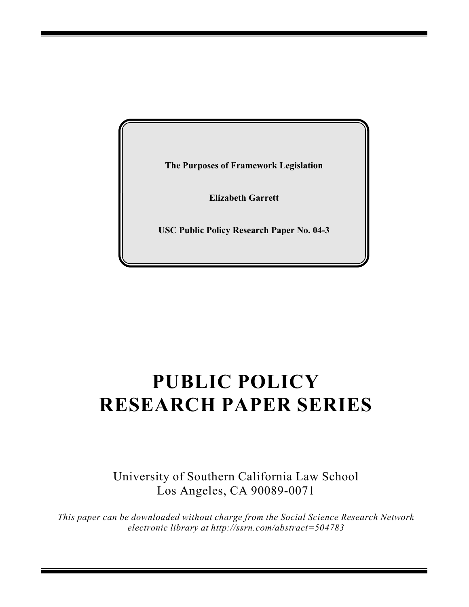**The Purposes of Framework Legislation**

**Elizabeth Garrett**

**USC Public Policy Research Paper No. 04-3**

# **PUBLIC POLICY RESEARCH PAPER SERIES**

University of Southern California Law School Los Angeles, CA 90089-0071

*This paper can be downloaded without charge from the Social Science Research Network electronic library at http://ssrn.com/abstract=504783*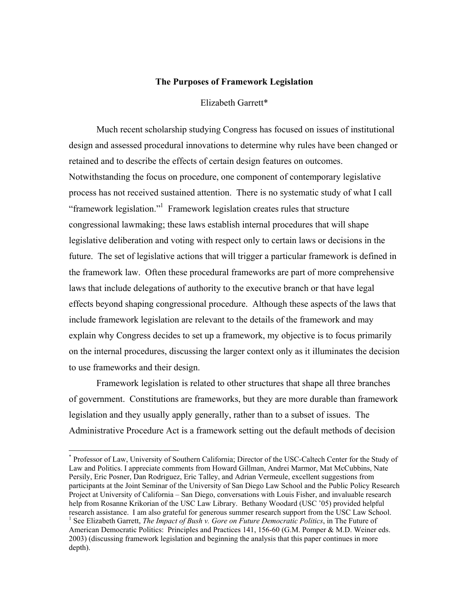#### **The Purposes of Framework Legislation**

## Elizabeth Garrett\*

 Much recent scholarship studying Congress has focused on issues of institutional design and assessed procedural innovations to determine why rules have been changed or retained and to describe the effects of certain design features on outcomes. Notwithstanding the focus on procedure, one component of contemporary legislative process has not received sustained attention. There is no systematic study of what I call "framework legislation."<sup>1</sup> Framework legislation creates rules that structure congressional lawmaking; these laws establish internal procedures that will shape legislative deliberation and voting with respect only to certain laws or decisions in the future. The set of legislative actions that will trigger a particular framework is defined in the framework law. Often these procedural frameworks are part of more comprehensive laws that include delegations of authority to the executive branch or that have legal effects beyond shaping congressional procedure. Although these aspects of the laws that include framework legislation are relevant to the details of the framework and may explain why Congress decides to set up a framework, my objective is to focus primarily on the internal procedures, discussing the larger context only as it illuminates the decision to use frameworks and their design.

Framework legislation is related to other structures that shape all three branches of government. Constitutions are frameworks, but they are more durable than framework legislation and they usually apply generally, rather than to a subset of issues. The Administrative Procedure Act is a framework setting out the default methods of decision

<sup>\*</sup> Professor of Law, University of Southern California; Director of the USC-Caltech Center for the Study of Law and Politics. I appreciate comments from Howard Gillman, Andrei Marmor, Mat McCubbins, Nate Persily, Eric Posner, Dan Rodriguez, Eric Talley, and Adrian Vermeule, excellent suggestions from participants at the Joint Seminar of the University of San Diego Law School and the Public Policy Research Project at University of California – San Diego, conversations with Louis Fisher, and invaluable research help from Rosanne Krikorian of the USC Law Library. Bethany Woodard (USC '05) provided helpful research assistance. I am also grateful for generous summer research support from the USC Law School. 1 <sup>1</sup> See Elizabeth Garrett, *The Impact of Bush v. Gore on Future Democratic Politics*, in The Future of American Democratic Politics: Principles and Practices 141, 156-60 (G.M. Pomper & M.D. Weiner eds. 2003) (discussing framework legislation and beginning the analysis that this paper continues in more

depth).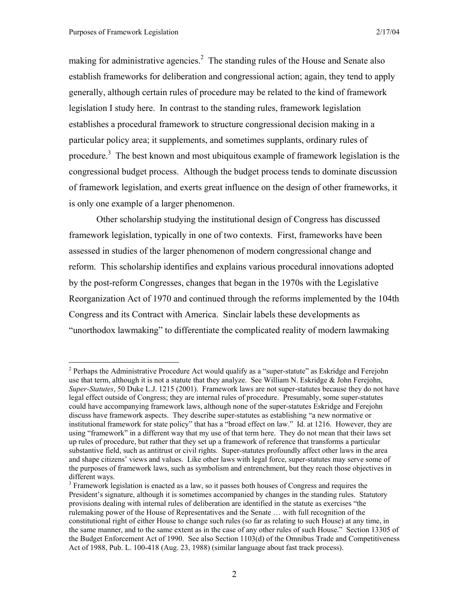1

making for administrative agencies.<sup>2</sup> The standing rules of the House and Senate also establish frameworks for deliberation and congressional action; again, they tend to apply generally, although certain rules of procedure may be related to the kind of framework legislation I study here. In contrast to the standing rules, framework legislation establishes a procedural framework to structure congressional decision making in a particular policy area; it supplements, and sometimes supplants, ordinary rules of procedure.<sup>3</sup> The best known and most ubiquitous example of framework legislation is the congressional budget process. Although the budget process tends to dominate discussion of framework legislation, and exerts great influence on the design of other frameworks, it is only one example of a larger phenomenon.

 Other scholarship studying the institutional design of Congress has discussed framework legislation, typically in one of two contexts. First, frameworks have been assessed in studies of the larger phenomenon of modern congressional change and reform. This scholarship identifies and explains various procedural innovations adopted by the post-reform Congresses, changes that began in the 1970s with the Legislative Reorganization Act of 1970 and continued through the reforms implemented by the 104th Congress and its Contract with America. Sinclair labels these developments as "unorthodox lawmaking" to differentiate the complicated reality of modern lawmaking

 $2$  Perhaps the Administrative Procedure Act would qualify as a "super-statute" as Eskridge and Ferejohn use that term, although it is not a statute that they analyze. See William N. Eskridge & John Ferejohn, *Super-Statutes*, 50 Duke L.J. 1215 (2001). Framework laws are not super-statutes because they do not have legal effect outside of Congress; they are internal rules of procedure. Presumably, some super-statutes could have accompanying framework laws, although none of the super-statutes Eskridge and Ferejohn discuss have framework aspects. They describe super-statutes as establishing "a new normative or institutional framework for state policy" that has a "broad effect on law." Id. at 1216. However, they are using "framework" in a different way that my use of that term here. They do not mean that their laws set up rules of procedure, but rather that they set up a framework of reference that transforms a particular substantive field, such as antitrust or civil rights. Super-statutes profoundly affect other laws in the area and shape citizens' views and values. Like other laws with legal force, super-statutes may serve some of the purposes of framework laws, such as symbolism and entrenchment, but they reach those objectives in different ways.

 $3$  Framework legislation is enacted as a law, so it passes both houses of Congress and requires the President's signature, although it is sometimes accompanied by changes in the standing rules. Statutory provisions dealing with internal rules of deliberation are identified in the statute as exercises "the rulemaking power of the House of Representatives and the Senate … with full recognition of the constitutional right of either House to change such rules (so far as relating to such House) at any time, in the same manner, and to the same extent as in the case of any other rules of such House." Section 13305 of the Budget Enforcement Act of 1990. See also Section 1103(d) of the Omnibus Trade and Competitiveness Act of 1988, Pub. L. 100-418 (Aug. 23, 1988) (similar language about fast track process).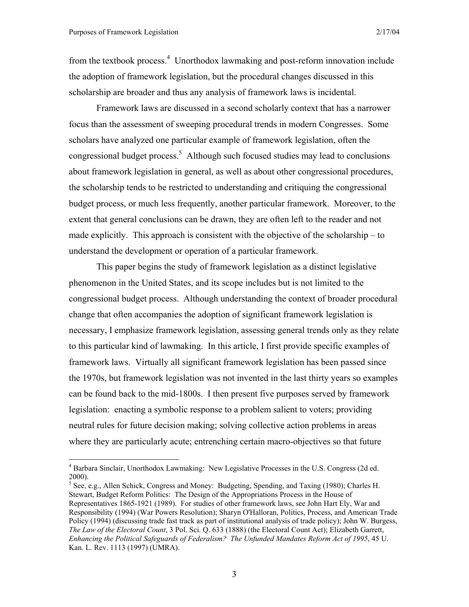1

from the textbook process.<sup>4</sup> Unorthodox lawmaking and post-reform innovation include the adoption of framework legislation, but the procedural changes discussed in this scholarship are broader and thus any analysis of framework laws is incidental.

Framework laws are discussed in a second scholarly context that has a narrower focus than the assessment of sweeping procedural trends in modern Congresses. Some scholars have analyzed one particular example of framework legislation, often the congressional budget process. $<sup>5</sup>$  Although such focused studies may lead to conclusions</sup> about framework legislation in general, as well as about other congressional procedures, the scholarship tends to be restricted to understanding and critiquing the congressional budget process, or much less frequently, another particular framework. Moreover, to the extent that general conclusions can be drawn, they are often left to the reader and not made explicitly. This approach is consistent with the objective of the scholarship – to understand the development or operation of a particular framework.

 This paper begins the study of framework legislation as a distinct legislative phenomenon in the United States, and its scope includes but is not limited to the congressional budget process. Although understanding the context of broader procedural change that often accompanies the adoption of significant framework legislation is necessary, I emphasize framework legislation, assessing general trends only as they relate to this particular kind of lawmaking. In this article, I first provide specific examples of framework laws. Virtually all significant framework legislation has been passed since the 1970s, but framework legislation was not invented in the last thirty years so examples can be found back to the mid-1800s. I then present five purposes served by framework legislation: enacting a symbolic response to a problem salient to voters; providing neutral rules for future decision making; solving collective action problems in areas where they are particularly acute; entrenching certain macro-objectives so that future

 $<sup>5</sup>$  See, e.g., Allen Schick, Congress and Money: Budgeting, Spending, and Taxing (1980); Charles H.</sup> Stewart, Budget Reform Politics: The Design of the Appropriations Process in the House of Representatives 1865-1921 (1989). For studies of other framework laws, see John Hart Ely, War and Responsibility (1994) (War Powers Resolution); Sharyn O'Halloran, Politics, Process, and American Trade Policy (1994) (discussing trade fast track as part of institutional analysis of trade policy); John W. Burgess, *The Law of the Electoral Count*, 3 Pol. Sci. Q. 633 (1888) (the Electoral Count Act); Elizabeth Garrett, *Enhancing the Political Safeguards of Federalism? The Unfunded Mandates Reform Act of 1995*, 45 U. Kan. L. Rev. 1113 (1997) (UMRA).

<sup>&</sup>lt;sup>4</sup> Barbara Sinclair, Unorthodox Lawmaking: New Legislative Processes in the U.S. Congress (2d ed. 2000).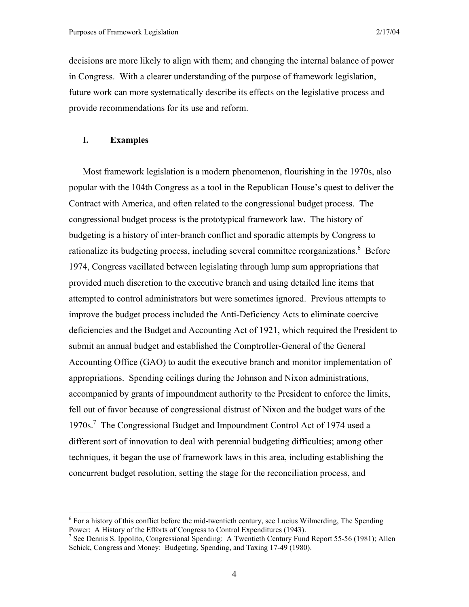decisions are more likely to align with them; and changing the internal balance of power in Congress. With a clearer understanding of the purpose of framework legislation, future work can more systematically describe its effects on the legislative process and provide recommendations for its use and reform.

## **I. Examples**

 $\overline{a}$ 

Most framework legislation is a modern phenomenon, flourishing in the 1970s, also popular with the 104th Congress as a tool in the Republican House's quest to deliver the Contract with America, and often related to the congressional budget process. The congressional budget process is the prototypical framework law. The history of budgeting is a history of inter-branch conflict and sporadic attempts by Congress to rationalize its budgeting process, including several committee reorganizations.<sup>6</sup> Before 1974, Congress vacillated between legislating through lump sum appropriations that provided much discretion to the executive branch and using detailed line items that attempted to control administrators but were sometimes ignored. Previous attempts to improve the budget process included the Anti-Deficiency Acts to eliminate coercive deficiencies and the Budget and Accounting Act of 1921, which required the President to submit an annual budget and established the Comptroller-General of the General Accounting Office (GAO) to audit the executive branch and monitor implementation of appropriations. Spending ceilings during the Johnson and Nixon administrations, accompanied by grants of impoundment authority to the President to enforce the limits, fell out of favor because of congressional distrust of Nixon and the budget wars of the 1970s.<sup>7</sup> The Congressional Budget and Impoundment Control Act of 1974 used a different sort of innovation to deal with perennial budgeting difficulties; among other techniques, it began the use of framework laws in this area, including establishing the concurrent budget resolution, setting the stage for the reconciliation process, and

<sup>&</sup>lt;sup>6</sup> For a history of this conflict before the mid-twentieth century, see Lucius Wilmerding, The Spending Power: A History of the Efforts of Congress to Control Expenditures (1943).

<sup>&</sup>lt;sup>7</sup> See Dennis S. Ippolito, Congressional Spending: A Twentieth Century Fund Report 55-56 (1981); Allen Schick, Congress and Money: Budgeting, Spending, and Taxing 17-49 (1980).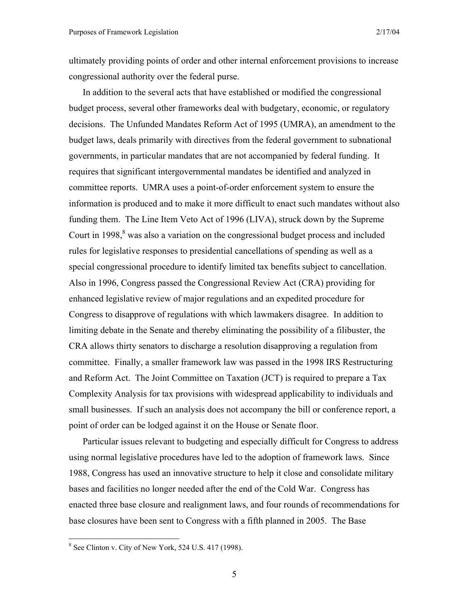ultimately providing points of order and other internal enforcement provisions to increase congressional authority over the federal purse.

In addition to the several acts that have established or modified the congressional budget process, several other frameworks deal with budgetary, economic, or regulatory decisions. The Unfunded Mandates Reform Act of 1995 (UMRA), an amendment to the budget laws, deals primarily with directives from the federal government to subnational governments, in particular mandates that are not accompanied by federal funding. It requires that significant intergovernmental mandates be identified and analyzed in committee reports. UMRA uses a point-of-order enforcement system to ensure the information is produced and to make it more difficult to enact such mandates without also funding them. The Line Item Veto Act of 1996 (LIVA), struck down by the Supreme Court in 1998, $\frac{8}{3}$  was also a variation on the congressional budget process and included rules for legislative responses to presidential cancellations of spending as well as a special congressional procedure to identify limited tax benefits subject to cancellation. Also in 1996, Congress passed the Congressional Review Act (CRA) providing for enhanced legislative review of major regulations and an expedited procedure for Congress to disapprove of regulations with which lawmakers disagree. In addition to limiting debate in the Senate and thereby eliminating the possibility of a filibuster, the CRA allows thirty senators to discharge a resolution disapproving a regulation from committee. Finally, a smaller framework law was passed in the 1998 IRS Restructuring and Reform Act. The Joint Committee on Taxation (JCT) is required to prepare a Tax Complexity Analysis for tax provisions with widespread applicability to individuals and small businesses. If such an analysis does not accompany the bill or conference report, a point of order can be lodged against it on the House or Senate floor.

Particular issues relevant to budgeting and especially difficult for Congress to address using normal legislative procedures have led to the adoption of framework laws. Since 1988, Congress has used an innovative structure to help it close and consolidate military bases and facilities no longer needed after the end of the Cold War. Congress has enacted three base closure and realignment laws, and four rounds of recommendations for base closures have been sent to Congress with a fifth planned in 2005. The Base

 $8$  See Clinton v. City of New York, 524 U.S. 417 (1998).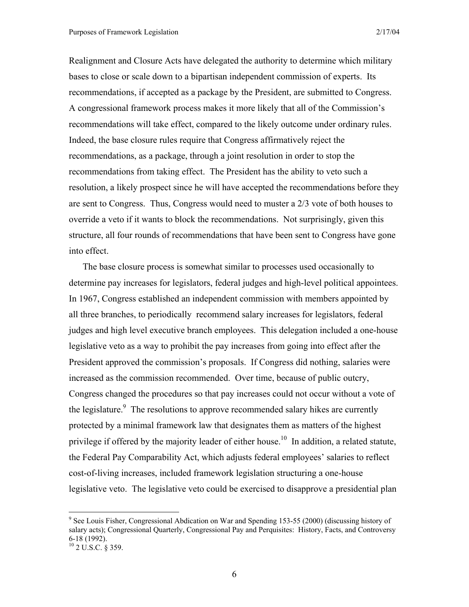Realignment and Closure Acts have delegated the authority to determine which military bases to close or scale down to a bipartisan independent commission of experts. Its recommendations, if accepted as a package by the President, are submitted to Congress. A congressional framework process makes it more likely that all of the Commission's recommendations will take effect, compared to the likely outcome under ordinary rules. Indeed, the base closure rules require that Congress affirmatively reject the recommendations, as a package, through a joint resolution in order to stop the recommendations from taking effect. The President has the ability to veto such a resolution, a likely prospect since he will have accepted the recommendations before they are sent to Congress. Thus, Congress would need to muster a 2/3 vote of both houses to override a veto if it wants to block the recommendations. Not surprisingly, given this structure, all four rounds of recommendations that have been sent to Congress have gone into effect.

The base closure process is somewhat similar to processes used occasionally to determine pay increases for legislators, federal judges and high-level political appointees. In 1967, Congress established an independent commission with members appointed by all three branches, to periodically recommend salary increases for legislators, federal judges and high level executive branch employees. This delegation included a one-house legislative veto as a way to prohibit the pay increases from going into effect after the President approved the commission's proposals. If Congress did nothing, salaries were increased as the commission recommended. Over time, because of public outcry, Congress changed the procedures so that pay increases could not occur without a vote of the legislature. $\degree$  The resolutions to approve recommended salary hikes are currently protected by a minimal framework law that designates them as matters of the highest privilege if offered by the majority leader of either house.<sup>10</sup> In addition, a related statute, the Federal Pay Comparability Act, which adjusts federal employees' salaries to reflect cost-of-living increases, included framework legislation structuring a one-house legislative veto. The legislative veto could be exercised to disapprove a presidential plan

<u>.</u>

<sup>&</sup>lt;sup>9</sup> See Louis Fisher, Congressional Abdication on War and Spending 153-55 (2000) (discussing history of salary acts); Congressional Quarterly, Congressional Pay and Perquisites: History, Facts, and Controversy 6-18 (1992).

 $10$  2 U.S.C. § 359.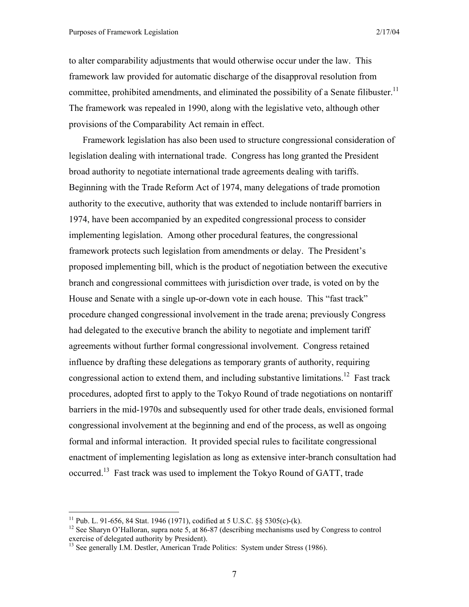to alter comparability adjustments that would otherwise occur under the law. This framework law provided for automatic discharge of the disapproval resolution from committee, prohibited amendments, and eliminated the possibility of a Senate filibuster.<sup>11</sup> The framework was repealed in 1990, along with the legislative veto, although other provisions of the Comparability Act remain in effect.

Framework legislation has also been used to structure congressional consideration of legislation dealing with international trade. Congress has long granted the President broad authority to negotiate international trade agreements dealing with tariffs. Beginning with the Trade Reform Act of 1974, many delegations of trade promotion authority to the executive, authority that was extended to include nontariff barriers in 1974, have been accompanied by an expedited congressional process to consider implementing legislation. Among other procedural features, the congressional framework protects such legislation from amendments or delay. The President's proposed implementing bill, which is the product of negotiation between the executive branch and congressional committees with jurisdiction over trade, is voted on by the House and Senate with a single up-or-down vote in each house. This "fast track" procedure changed congressional involvement in the trade arena; previously Congress had delegated to the executive branch the ability to negotiate and implement tariff agreements without further formal congressional involvement. Congress retained influence by drafting these delegations as temporary grants of authority, requiring congressional action to extend them, and including substantive limitations.<sup>12</sup> Fast track procedures, adopted first to apply to the Tokyo Round of trade negotiations on nontariff barriers in the mid-1970s and subsequently used for other trade deals, envisioned formal congressional involvement at the beginning and end of the process, as well as ongoing formal and informal interaction. It provided special rules to facilitate congressional enactment of implementing legislation as long as extensive inter-branch consultation had occurred.13 Fast track was used to implement the Tokyo Round of GATT, trade

<u>.</u>

<sup>&</sup>lt;sup>11</sup> Pub. L. 91-656, 84 Stat. 1946 (1971), codified at 5 U.S.C. §§ 5305(c)-(k).

<sup>&</sup>lt;sup>12</sup> See Sharyn O'Halloran, supra note 5, at 86-87 (describing mechanisms used by Congress to control exercise of delegated authority by President).

<sup>&</sup>lt;sup>13</sup> See generally I.M. Destler, American Trade Politics: System under Stress (1986).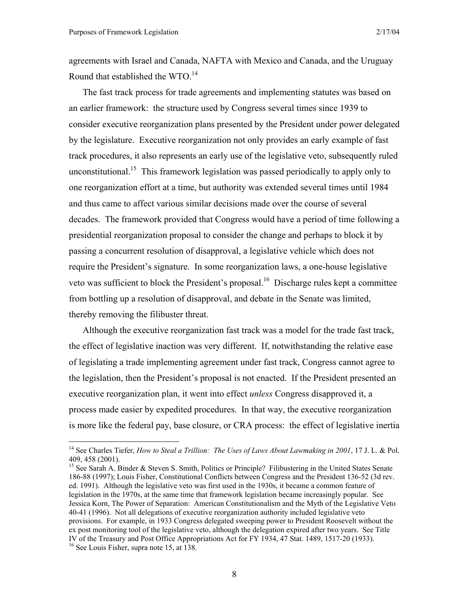1

agreements with Israel and Canada, NAFTA with Mexico and Canada, and the Uruguay Round that established the WTO.<sup>14</sup>

The fast track process for trade agreements and implementing statutes was based on an earlier framework: the structure used by Congress several times since 1939 to consider executive reorganization plans presented by the President under power delegated by the legislature. Executive reorganization not only provides an early example of fast track procedures, it also represents an early use of the legislative veto, subsequently ruled unconstitutional.<sup>15</sup> This framework legislation was passed periodically to apply only to one reorganization effort at a time, but authority was extended several times until 1984 and thus came to affect various similar decisions made over the course of several decades. The framework provided that Congress would have a period of time following a presidential reorganization proposal to consider the change and perhaps to block it by passing a concurrent resolution of disapproval, a legislative vehicle which does not require the President's signature. In some reorganization laws, a one-house legislative veto was sufficient to block the President's proposal.<sup>16</sup> Discharge rules kept a committee from bottling up a resolution of disapproval, and debate in the Senate was limited, thereby removing the filibuster threat.

Although the executive reorganization fast track was a model for the trade fast track, the effect of legislative inaction was very different. If, notwithstanding the relative ease of legislating a trade implementing agreement under fast track, Congress cannot agree to the legislation, then the President's proposal is not enacted. If the President presented an executive reorganization plan, it went into effect *unless* Congress disapproved it, a process made easier by expedited procedures. In that way, the executive reorganization is more like the federal pay, base closure, or CRA process: the effect of legislative inertia

<sup>&</sup>lt;sup>14</sup> See Charles Tiefer, *How to Steal a Trillion: The Uses of Laws About Lawmaking in 2001*, 17 J. L. & Pol. 409, 458 (2001).

<sup>&</sup>lt;sup>15</sup> See Sarah A. Binder & Steven S. Smith, Politics or Principle? Filibustering in the United States Senate 186-88 (1997); Louis Fisher, Constitutional Conflicts between Congress and the President 136-52 (3d rev. ed. 1991). Although the legislative veto was first used in the 1930s, it became a common feature of legislation in the 1970s, at the same time that framework legislation became increasingly popular. See Jessica Korn, The Power of Separation: American Constitutionalism and the Myth of the Legislative Veto 40-41 (1996). Not all delegations of executive reorganization authority included legislative veto provisions. For example, in 1933 Congress delegated sweeping power to President Roosevelt without the ex post monitoring tool of the legislative veto, although the delegation expired after two years. See Title IV of the Treasury and Post Office Appropriations Act for FY 1934, 47 Stat. 1489, 1517-20 (1933). 16 See Louis Fisher, supra note 15, at 138.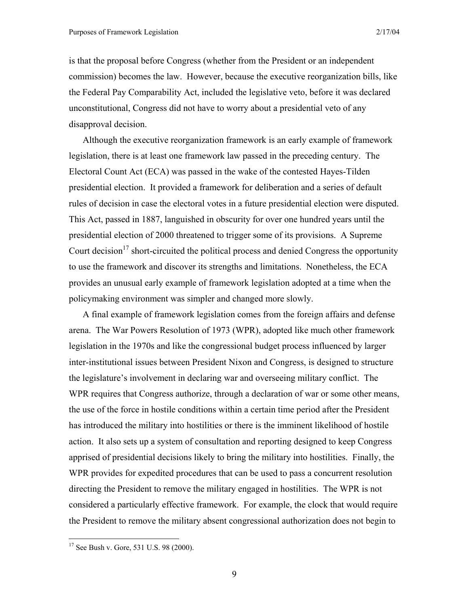is that the proposal before Congress (whether from the President or an independent commission) becomes the law. However, because the executive reorganization bills, like the Federal Pay Comparability Act, included the legislative veto, before it was declared unconstitutional, Congress did not have to worry about a presidential veto of any disapproval decision.

Although the executive reorganization framework is an early example of framework legislation, there is at least one framework law passed in the preceding century. The Electoral Count Act (ECA) was passed in the wake of the contested Hayes-Tilden presidential election. It provided a framework for deliberation and a series of default rules of decision in case the electoral votes in a future presidential election were disputed. This Act, passed in 1887, languished in obscurity for over one hundred years until the presidential election of 2000 threatened to trigger some of its provisions. A Supreme Court decision<sup>17</sup> short-circuited the political process and denied Congress the opportunity to use the framework and discover its strengths and limitations. Nonetheless, the ECA provides an unusual early example of framework legislation adopted at a time when the policymaking environment was simpler and changed more slowly.

A final example of framework legislation comes from the foreign affairs and defense arena. The War Powers Resolution of 1973 (WPR), adopted like much other framework legislation in the 1970s and like the congressional budget process influenced by larger inter-institutional issues between President Nixon and Congress, is designed to structure the legislature's involvement in declaring war and overseeing military conflict. The WPR requires that Congress authorize, through a declaration of war or some other means, the use of the force in hostile conditions within a certain time period after the President has introduced the military into hostilities or there is the imminent likelihood of hostile action. It also sets up a system of consultation and reporting designed to keep Congress apprised of presidential decisions likely to bring the military into hostilities. Finally, the WPR provides for expedited procedures that can be used to pass a concurrent resolution directing the President to remove the military engaged in hostilities. The WPR is not considered a particularly effective framework. For example, the clock that would require the President to remove the military absent congressional authorization does not begin to

<u>.</u>

9

<sup>&</sup>lt;sup>17</sup> See Bush v. Gore, 531 U.S. 98 (2000).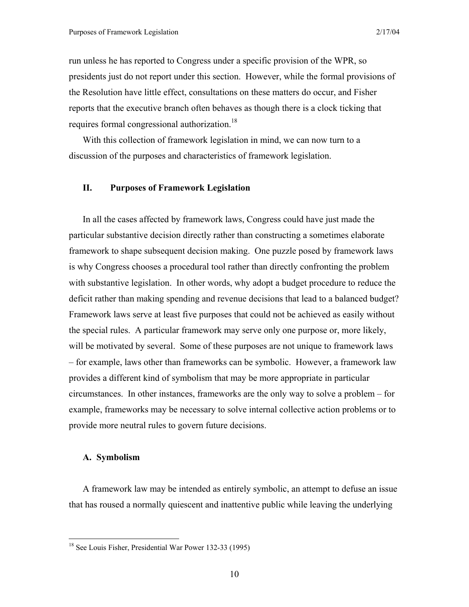run unless he has reported to Congress under a specific provision of the WPR, so presidents just do not report under this section. However, while the formal provisions of the Resolution have little effect, consultations on these matters do occur, and Fisher reports that the executive branch often behaves as though there is a clock ticking that requires formal congressional authorization.<sup>18</sup>

With this collection of framework legislation in mind, we can now turn to a discussion of the purposes and characteristics of framework legislation.

#### **II. Purposes of Framework Legislation**

In all the cases affected by framework laws, Congress could have just made the particular substantive decision directly rather than constructing a sometimes elaborate framework to shape subsequent decision making. One puzzle posed by framework laws is why Congress chooses a procedural tool rather than directly confronting the problem with substantive legislation. In other words, why adopt a budget procedure to reduce the deficit rather than making spending and revenue decisions that lead to a balanced budget? Framework laws serve at least five purposes that could not be achieved as easily without the special rules. A particular framework may serve only one purpose or, more likely, will be motivated by several. Some of these purposes are not unique to framework laws – for example, laws other than frameworks can be symbolic. However, a framework law provides a different kind of symbolism that may be more appropriate in particular circumstances. In other instances, frameworks are the only way to solve a problem – for example, frameworks may be necessary to solve internal collective action problems or to provide more neutral rules to govern future decisions.

#### **A. Symbolism**

 $\overline{a}$ 

A framework law may be intended as entirely symbolic, an attempt to defuse an issue that has roused a normally quiescent and inattentive public while leaving the underlying

<sup>&</sup>lt;sup>18</sup> See Louis Fisher, Presidential War Power 132-33 (1995)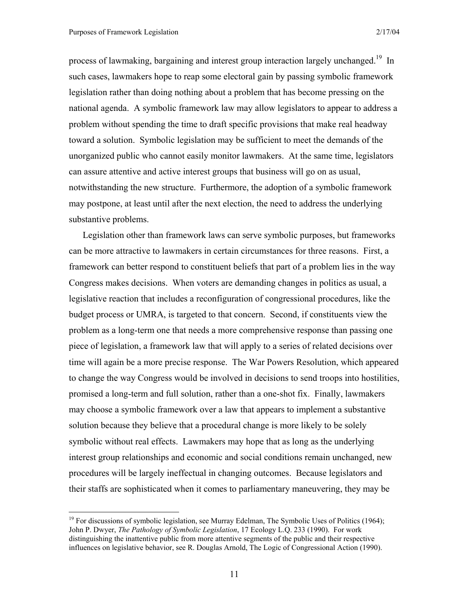$\overline{a}$ 

process of lawmaking, bargaining and interest group interaction largely unchanged.<sup>19</sup> In such cases, lawmakers hope to reap some electoral gain by passing symbolic framework legislation rather than doing nothing about a problem that has become pressing on the national agenda. A symbolic framework law may allow legislators to appear to address a problem without spending the time to draft specific provisions that make real headway toward a solution. Symbolic legislation may be sufficient to meet the demands of the unorganized public who cannot easily monitor lawmakers. At the same time, legislators can assure attentive and active interest groups that business will go on as usual, notwithstanding the new structure. Furthermore, the adoption of a symbolic framework may postpone, at least until after the next election, the need to address the underlying substantive problems.

Legislation other than framework laws can serve symbolic purposes, but frameworks can be more attractive to lawmakers in certain circumstances for three reasons. First, a framework can better respond to constituent beliefs that part of a problem lies in the way Congress makes decisions. When voters are demanding changes in politics as usual, a legislative reaction that includes a reconfiguration of congressional procedures, like the budget process or UMRA, is targeted to that concern. Second, if constituents view the problem as a long-term one that needs a more comprehensive response than passing one piece of legislation, a framework law that will apply to a series of related decisions over time will again be a more precise response. The War Powers Resolution, which appeared to change the way Congress would be involved in decisions to send troops into hostilities, promised a long-term and full solution, rather than a one-shot fix. Finally, lawmakers may choose a symbolic framework over a law that appears to implement a substantive solution because they believe that a procedural change is more likely to be solely symbolic without real effects. Lawmakers may hope that as long as the underlying interest group relationships and economic and social conditions remain unchanged, new procedures will be largely ineffectual in changing outcomes. Because legislators and their staffs are sophisticated when it comes to parliamentary maneuvering, they may be

 $19$  For discussions of symbolic legislation, see Murray Edelman, The Symbolic Uses of Politics (1964); John P. Dwyer, *The Pathology of Symbolic Legislation*, 17 Ecology L.Q. 233 (1990). For work distinguishing the inattentive public from more attentive segments of the public and their respective influences on legislative behavior, see R. Douglas Arnold, The Logic of Congressional Action (1990).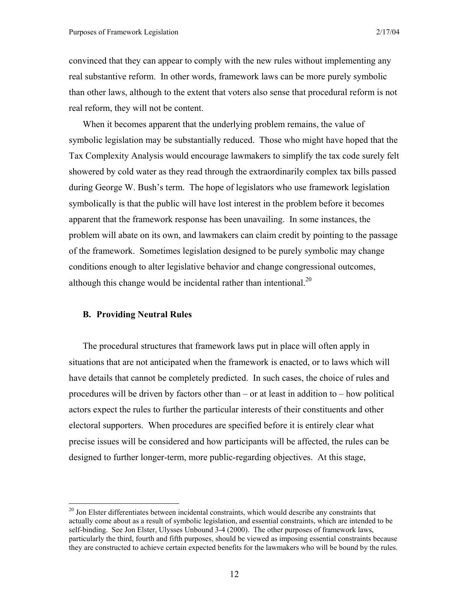convinced that they can appear to comply with the new rules without implementing any real substantive reform. In other words, framework laws can be more purely symbolic than other laws, although to the extent that voters also sense that procedural reform is not real reform, they will not be content.

When it becomes apparent that the underlying problem remains, the value of symbolic legislation may be substantially reduced. Those who might have hoped that the Tax Complexity Analysis would encourage lawmakers to simplify the tax code surely felt showered by cold water as they read through the extraordinarily complex tax bills passed during George W. Bush's term. The hope of legislators who use framework legislation symbolically is that the public will have lost interest in the problem before it becomes apparent that the framework response has been unavailing. In some instances, the problem will abate on its own, and lawmakers can claim credit by pointing to the passage of the framework. Sometimes legislation designed to be purely symbolic may change conditions enough to alter legislative behavior and change congressional outcomes, although this change would be incidental rather than intentional.<sup>20</sup>

#### **B. Providing Neutral Rules**

1

The procedural structures that framework laws put in place will often apply in situations that are not anticipated when the framework is enacted, or to laws which will have details that cannot be completely predicted. In such cases, the choice of rules and procedures will be driven by factors other than – or at least in addition to – how political actors expect the rules to further the particular interests of their constituents and other electoral supporters. When procedures are specified before it is entirely clear what precise issues will be considered and how participants will be affected, the rules can be designed to further longer-term, more public-regarding objectives. At this stage,

<sup>&</sup>lt;sup>20</sup> Jon Elster differentiates between incidental constraints, which would describe any constraints that actually come about as a result of symbolic legislation, and essential constraints, which are intended to be self-binding. See Jon Elster, Ulysses Unbound 3-4 (2000). The other purposes of framework laws, particularly the third, fourth and fifth purposes, should be viewed as imposing essential constraints because they are constructed to achieve certain expected benefits for the lawmakers who will be bound by the rules.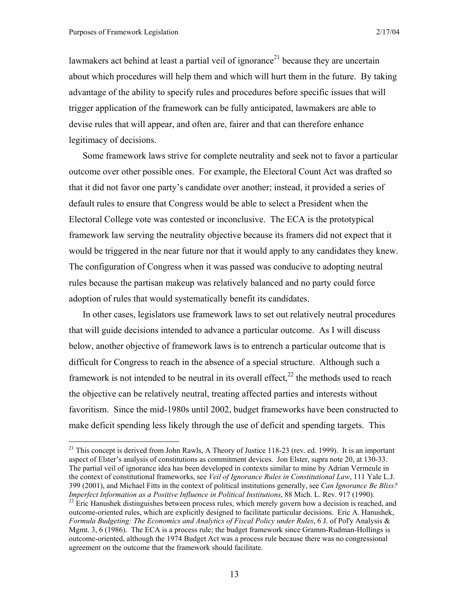1

lawmakers act behind at least a partial veil of ignorance<sup>21</sup> because they are uncertain about which procedures will help them and which will hurt them in the future. By taking advantage of the ability to specify rules and procedures before specific issues that will trigger application of the framework can be fully anticipated, lawmakers are able to devise rules that will appear, and often are, fairer and that can therefore enhance legitimacy of decisions.

Some framework laws strive for complete neutrality and seek not to favor a particular outcome over other possible ones. For example, the Electoral Count Act was drafted so that it did not favor one party's candidate over another; instead, it provided a series of default rules to ensure that Congress would be able to select a President when the Electoral College vote was contested or inconclusive. The ECA is the prototypical framework law serving the neutrality objective because its framers did not expect that it would be triggered in the near future nor that it would apply to any candidates they knew. The configuration of Congress when it was passed was conducive to adopting neutral rules because the partisan makeup was relatively balanced and no party could force adoption of rules that would systematically benefit its candidates.

In other cases, legislators use framework laws to set out relatively neutral procedures that will guide decisions intended to advance a particular outcome. As I will discuss below, another objective of framework laws is to entrench a particular outcome that is difficult for Congress to reach in the absence of a special structure. Although such a framework is not intended to be neutral in its overall effect,<sup>22</sup> the methods used to reach the objective can be relatively neutral, treating affected parties and interests without favoritism. Since the mid-1980s until 2002, budget frameworks have been constructed to make deficit spending less likely through the use of deficit and spending targets. This

<sup>&</sup>lt;sup>21</sup> This concept is derived from John Rawls, A Theory of Justice 118-23 (rev. ed. 1999). It is an important aspect of Elster's analysis of constitutions as commitment devices. Jon Elster, supra note 20, at 130-33. The partial veil of ignorance idea has been developed in contexts similar to mine by Adrian Vermeule in the context of constitutional frameworks, see *Veil of Ignorance Rules in Constitutional Law*, 111 Yale L.J. 399 (2001), and Michael Fitts in the context of political institutions generally, see *Can Ignorance Be Bliss? Imperfect Information as a Positive Influence in Political Institutions*, 88 Mich. L. Rev. 917 (1990).<br><sup>22</sup> Eric Hanushek distinguishes between process rules, which merely govern how a decision is reached, and

outcome-oriented rules, which are explicitly designed to facilitate particular decisions. Eric A. Hanushek, *Formula Budgeting: The Economics and Analytics of Fiscal Policy under Rules*, 6 J. of Pol'y Analysis & Mgmt. 3, 6 (1986). The ECA is a process rule; the budget framework since Gramm-Rudman-Hollings is outcome-oriented, although the 1974 Budget Act was a process rule because there was no congressional agreement on the outcome that the framework should facilitate.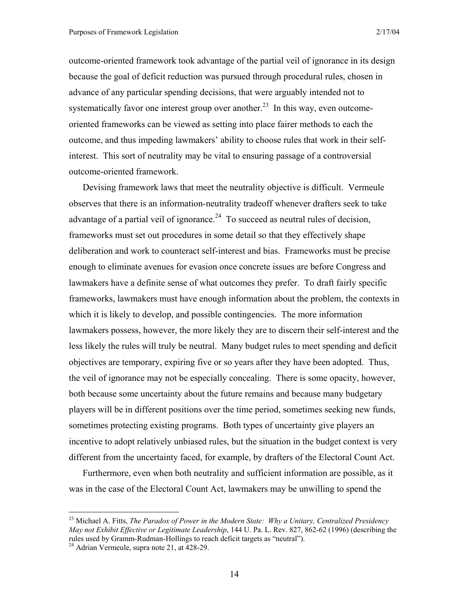outcome-oriented framework took advantage of the partial veil of ignorance in its design because the goal of deficit reduction was pursued through procedural rules, chosen in advance of any particular spending decisions, that were arguably intended not to systematically favor one interest group over another.<sup>23</sup> In this way, even outcomeoriented frameworks can be viewed as setting into place fairer methods to each the outcome, and thus impeding lawmakers' ability to choose rules that work in their selfinterest. This sort of neutrality may be vital to ensuring passage of a controversial outcome-oriented framework.

Devising framework laws that meet the neutrality objective is difficult. Vermeule observes that there is an information-neutrality tradeoff whenever drafters seek to take advantage of a partial veil of ignorance.<sup>24</sup> To succeed as neutral rules of decision, frameworks must set out procedures in some detail so that they effectively shape deliberation and work to counteract self-interest and bias. Frameworks must be precise enough to eliminate avenues for evasion once concrete issues are before Congress and lawmakers have a definite sense of what outcomes they prefer. To draft fairly specific frameworks, lawmakers must have enough information about the problem, the contexts in which it is likely to develop, and possible contingencies. The more information lawmakers possess, however, the more likely they are to discern their self-interest and the less likely the rules will truly be neutral. Many budget rules to meet spending and deficit objectives are temporary, expiring five or so years after they have been adopted. Thus, the veil of ignorance may not be especially concealing. There is some opacity, however, both because some uncertainty about the future remains and because many budgetary players will be in different positions over the time period, sometimes seeking new funds, sometimes protecting existing programs. Both types of uncertainty give players an incentive to adopt relatively unbiased rules, but the situation in the budget context is very different from the uncertainty faced, for example, by drafters of the Electoral Count Act.

Furthermore, even when both neutrality and sufficient information are possible, as it was in the case of the Electoral Count Act, lawmakers may be unwilling to spend the

<sup>23</sup> Michael A. Fitts, *The Paradox of Power in the Modern State: Why a Unitary, Centralized Presidency May not Exhibit Effective or Legitimate Leadership*, 144 U. Pa. L. Rev. 827, 862-62 (1996) (describing the rules used by Gramm-Rudman-Hollings to reach deficit targets as "neutral"). 24 Adrian Vermeule, supra note 21, at 428-29.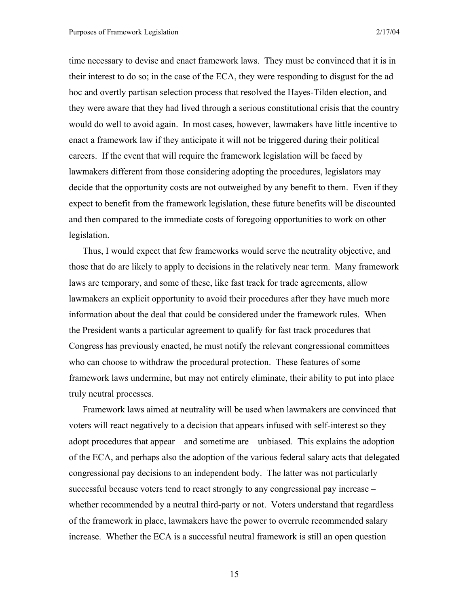time necessary to devise and enact framework laws. They must be convinced that it is in their interest to do so; in the case of the ECA, they were responding to disgust for the ad hoc and overtly partisan selection process that resolved the Hayes-Tilden election, and they were aware that they had lived through a serious constitutional crisis that the country would do well to avoid again. In most cases, however, lawmakers have little incentive to enact a framework law if they anticipate it will not be triggered during their political careers. If the event that will require the framework legislation will be faced by lawmakers different from those considering adopting the procedures, legislators may decide that the opportunity costs are not outweighed by any benefit to them. Even if they expect to benefit from the framework legislation, these future benefits will be discounted and then compared to the immediate costs of foregoing opportunities to work on other legislation.

Thus, I would expect that few frameworks would serve the neutrality objective, and those that do are likely to apply to decisions in the relatively near term. Many framework laws are temporary, and some of these, like fast track for trade agreements, allow lawmakers an explicit opportunity to avoid their procedures after they have much more information about the deal that could be considered under the framework rules. When the President wants a particular agreement to qualify for fast track procedures that Congress has previously enacted, he must notify the relevant congressional committees who can choose to withdraw the procedural protection. These features of some framework laws undermine, but may not entirely eliminate, their ability to put into place truly neutral processes.

Framework laws aimed at neutrality will be used when lawmakers are convinced that voters will react negatively to a decision that appears infused with self-interest so they adopt procedures that appear – and sometime are – unbiased. This explains the adoption of the ECA, and perhaps also the adoption of the various federal salary acts that delegated congressional pay decisions to an independent body. The latter was not particularly successful because voters tend to react strongly to any congressional pay increase – whether recommended by a neutral third-party or not. Voters understand that regardless of the framework in place, lawmakers have the power to overrule recommended salary increase. Whether the ECA is a successful neutral framework is still an open question

15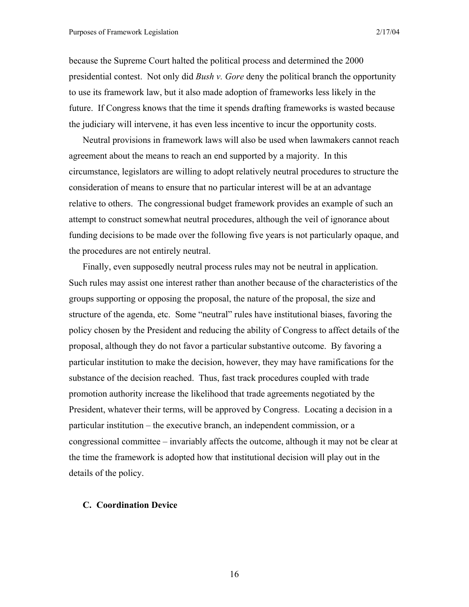because the Supreme Court halted the political process and determined the 2000 presidential contest. Not only did *Bush v. Gore* deny the political branch the opportunity to use its framework law, but it also made adoption of frameworks less likely in the future. If Congress knows that the time it spends drafting frameworks is wasted because the judiciary will intervene, it has even less incentive to incur the opportunity costs.

Neutral provisions in framework laws will also be used when lawmakers cannot reach agreement about the means to reach an end supported by a majority. In this circumstance, legislators are willing to adopt relatively neutral procedures to structure the consideration of means to ensure that no particular interest will be at an advantage relative to others. The congressional budget framework provides an example of such an attempt to construct somewhat neutral procedures, although the veil of ignorance about funding decisions to be made over the following five years is not particularly opaque, and the procedures are not entirely neutral.

Finally, even supposedly neutral process rules may not be neutral in application. Such rules may assist one interest rather than another because of the characteristics of the groups supporting or opposing the proposal, the nature of the proposal, the size and structure of the agenda, etc. Some "neutral" rules have institutional biases, favoring the policy chosen by the President and reducing the ability of Congress to affect details of the proposal, although they do not favor a particular substantive outcome. By favoring a particular institution to make the decision, however, they may have ramifications for the substance of the decision reached. Thus, fast track procedures coupled with trade promotion authority increase the likelihood that trade agreements negotiated by the President, whatever their terms, will be approved by Congress. Locating a decision in a particular institution – the executive branch, an independent commission, or a congressional committee – invariably affects the outcome, although it may not be clear at the time the framework is adopted how that institutional decision will play out in the details of the policy.

#### **C. Coordination Device**

16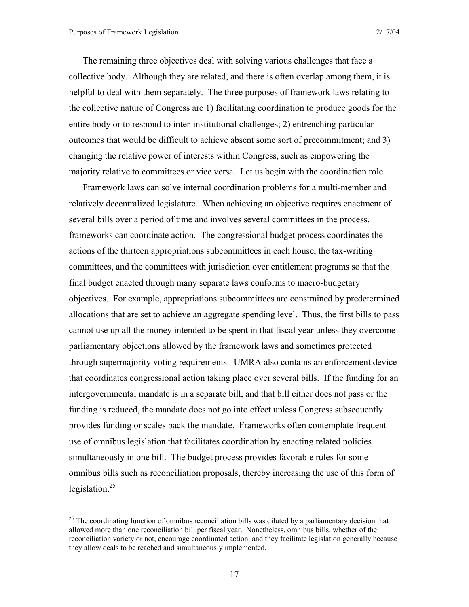$\overline{a}$ 

The remaining three objectives deal with solving various challenges that face a collective body. Although they are related, and there is often overlap among them, it is helpful to deal with them separately. The three purposes of framework laws relating to the collective nature of Congress are 1) facilitating coordination to produce goods for the entire body or to respond to inter-institutional challenges; 2) entrenching particular outcomes that would be difficult to achieve absent some sort of precommitment; and 3) changing the relative power of interests within Congress, such as empowering the majority relative to committees or vice versa. Let us begin with the coordination role.

Framework laws can solve internal coordination problems for a multi-member and relatively decentralized legislature. When achieving an objective requires enactment of several bills over a period of time and involves several committees in the process, frameworks can coordinate action. The congressional budget process coordinates the actions of the thirteen appropriations subcommittees in each house, the tax-writing committees, and the committees with jurisdiction over entitlement programs so that the final budget enacted through many separate laws conforms to macro-budgetary objectives. For example, appropriations subcommittees are constrained by predetermined allocations that are set to achieve an aggregate spending level. Thus, the first bills to pass cannot use up all the money intended to be spent in that fiscal year unless they overcome parliamentary objections allowed by the framework laws and sometimes protected through supermajority voting requirements. UMRA also contains an enforcement device that coordinates congressional action taking place over several bills. If the funding for an intergovernmental mandate is in a separate bill, and that bill either does not pass or the funding is reduced, the mandate does not go into effect unless Congress subsequently provides funding or scales back the mandate. Frameworks often contemplate frequent use of omnibus legislation that facilitates coordination by enacting related policies simultaneously in one bill. The budget process provides favorable rules for some omnibus bills such as reconciliation proposals, thereby increasing the use of this form of legislation. $^{25}$ 

 $^{25}$  The coordinating function of omnibus reconciliation bills was diluted by a parliamentary decision that allowed more than one reconciliation bill per fiscal year. Nonetheless, omnibus bills, whether of the reconciliation variety or not, encourage coordinated action, and they facilitate legislation generally because they allow deals to be reached and simultaneously implemented.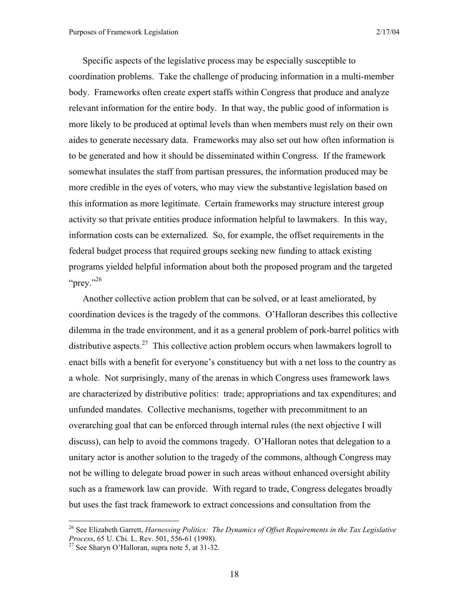Specific aspects of the legislative process may be especially susceptible to coordination problems. Take the challenge of producing information in a multi-member body. Frameworks often create expert staffs within Congress that produce and analyze relevant information for the entire body. In that way, the public good of information is more likely to be produced at optimal levels than when members must rely on their own aides to generate necessary data. Frameworks may also set out how often information is to be generated and how it should be disseminated within Congress. If the framework somewhat insulates the staff from partisan pressures, the information produced may be more credible in the eyes of voters, who may view the substantive legislation based on this information as more legitimate. Certain frameworks may structure interest group activity so that private entities produce information helpful to lawmakers. In this way, information costs can be externalized. So, for example, the offset requirements in the federal budget process that required groups seeking new funding to attack existing programs yielded helpful information about both the proposed program and the targeted "prey." $^{26}$ 

Another collective action problem that can be solved, or at least ameliorated, by coordination devices is the tragedy of the commons. O'Halloran describes this collective dilemma in the trade environment, and it as a general problem of pork-barrel politics with distributive aspects.<sup>27</sup> This collective action problem occurs when lawmakers logroll to enact bills with a benefit for everyone's constituency but with a net loss to the country as a whole. Not surprisingly, many of the arenas in which Congress uses framework laws are characterized by distributive politics: trade; appropriations and tax expenditures; and unfunded mandates. Collective mechanisms, together with precommitment to an overarching goal that can be enforced through internal rules (the next objective I will discuss), can help to avoid the commons tragedy. O'Halloran notes that delegation to a unitary actor is another solution to the tragedy of the commons, although Congress may not be willing to delegate broad power in such areas without enhanced oversight ability such as a framework law can provide. With regard to trade, Congress delegates broadly but uses the fast track framework to extract concessions and consultation from the

<sup>26</sup> See Elizabeth Garrett, *Harnessing Politics: The Dynamics of Offset Requirements in the Tax Legislative Process*, 65 U. Chi. L. Rev. 501, 556-61 (1998).<br><sup>27</sup> See Sharyn O'Halloran, supra note 5, at 31-32.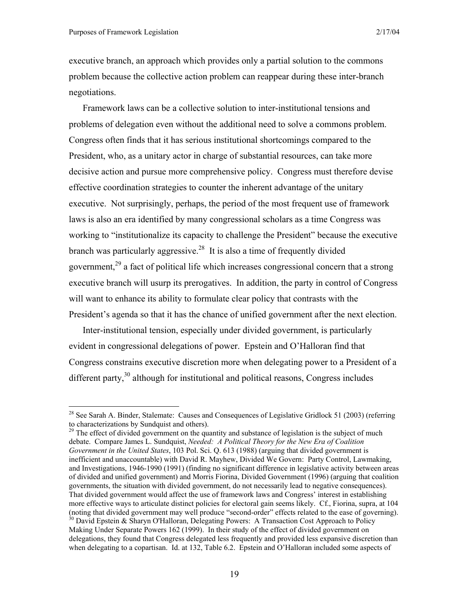$\overline{a}$ 

executive branch, an approach which provides only a partial solution to the commons problem because the collective action problem can reappear during these inter-branch negotiations.

Framework laws can be a collective solution to inter-institutional tensions and problems of delegation even without the additional need to solve a commons problem. Congress often finds that it has serious institutional shortcomings compared to the President, who, as a unitary actor in charge of substantial resources, can take more decisive action and pursue more comprehensive policy. Congress must therefore devise effective coordination strategies to counter the inherent advantage of the unitary executive. Not surprisingly, perhaps, the period of the most frequent use of framework laws is also an era identified by many congressional scholars as a time Congress was working to "institutionalize its capacity to challenge the President" because the executive branch was particularly aggressive.<sup>28</sup> It is also a time of frequently divided government, $^{29}$  a fact of political life which increases congressional concern that a strong executive branch will usurp its prerogatives. In addition, the party in control of Congress will want to enhance its ability to formulate clear policy that contrasts with the President's agenda so that it has the chance of unified government after the next election.

Inter-institutional tension, especially under divided government, is particularly evident in congressional delegations of power. Epstein and O'Halloran find that Congress constrains executive discretion more when delegating power to a President of a different party, $30$  although for institutional and political reasons, Congress includes

<sup>&</sup>lt;sup>28</sup> See Sarah A. Binder, Stalemate: Causes and Consequences of Legislative Gridlock 51 (2003) (referring to characterizations by Sundquist and others).

<sup>&</sup>lt;sup>29</sup> The effect of divided government on the quantity and substance of legislation is the subject of much debate. Compare James L. Sundquist, *Needed: A Political Theory for the New Era of Coalition Government in the United States*, 103 Pol. Sci. Q. 613 (1988) (arguing that divided government is inefficient and unaccountable) with David R. Mayhew, Divided We Govern: Party Control, Lawmaking, and Investigations, 1946-1990 (1991) (finding no significant difference in legislative activity between areas of divided and unified government) and Morris Fiorina, Divided Government (1996) (arguing that coalition governments, the situation with divided government, do not necessarily lead to negative consequences). That divided government would affect the use of framework laws and Congress' interest in establishing more effective ways to articulate distinct policies for electoral gain seems likely. Cf., Fiorina, supra, at 104 (noting that divided government may well produce "second-order" effects related to the ease of governing).  $30$  David Epstein & Sharyn O'Halloran, Delegating Powers: A Transaction Cost Approach to Policy

Making Under Separate Powers 162 (1999). In their study of the effect of divided government on delegations, they found that Congress delegated less frequently and provided less expansive discretion than when delegating to a copartisan. Id. at 132, Table 6.2. Epstein and O'Halloran included some aspects of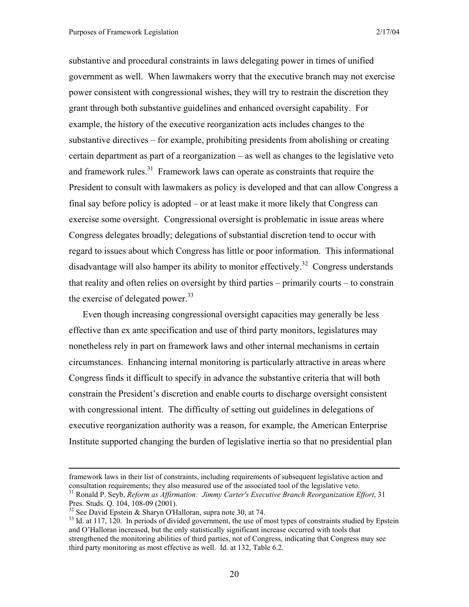substantive and procedural constraints in laws delegating power in times of unified government as well. When lawmakers worry that the executive branch may not exercise power consistent with congressional wishes, they will try to restrain the discretion they grant through both substantive guidelines and enhanced oversight capability. For example, the history of the executive reorganization acts includes changes to the substantive directives – for example, prohibiting presidents from abolishing or creating certain department as part of a reorganization – as well as changes to the legislative veto and framework rules. $31$  Framework laws can operate as constraints that require the President to consult with lawmakers as policy is developed and that can allow Congress a final say before policy is adopted – or at least make it more likely that Congress can exercise some oversight. Congressional oversight is problematic in issue areas where Congress delegates broadly; delegations of substantial discretion tend to occur with regard to issues about which Congress has little or poor information. This informational disadvantage will also hamper its ability to monitor effectively.<sup>32</sup> Congress understands that reality and often relies on oversight by third parties – primarily courts – to constrain the exercise of delegated power. $33$ 

Even though increasing congressional oversight capacities may generally be less effective than ex ante specification and use of third party monitors, legislatures may nonetheless rely in part on framework laws and other internal mechanisms in certain circumstances. Enhancing internal monitoring is particularly attractive in areas where Congress finds it difficult to specify in advance the substantive criteria that will both constrain the President's discretion and enable courts to discharge oversight consistent with congressional intent. The difficulty of setting out guidelines in delegations of executive reorganization authority was a reason, for example, the American Enterprise Institute supported changing the burden of legislative inertia so that no presidential plan

framework laws in their list of constraints, including requirements of subsequent legislative action and consultation requirements; they also measured use of the associated tool of the legislative veto.<br><sup>31</sup> Ronald P. Seyb, *Reform as Affirmation: Jimmy Carter's Executive Branch Reorganization Effort*, 31

Pres. Studs. Q. 104, 108-09 (2001).

<sup>&</sup>lt;sup>32</sup> See David Epstein & Sharyn O'Halloran, supra note 30, at 74.

<sup>&</sup>lt;sup>33</sup> Id. at 117, 120. In periods of divided government, the use of most types of constraints studied by Epstein and O'Halloran increased, but the only statistically significant increase occurred with tools that strengthened the monitoring abilities of third parties, not of Congress, indicating that Congress may see third party monitoring as most effective as well. Id. at 132, Table 6.2.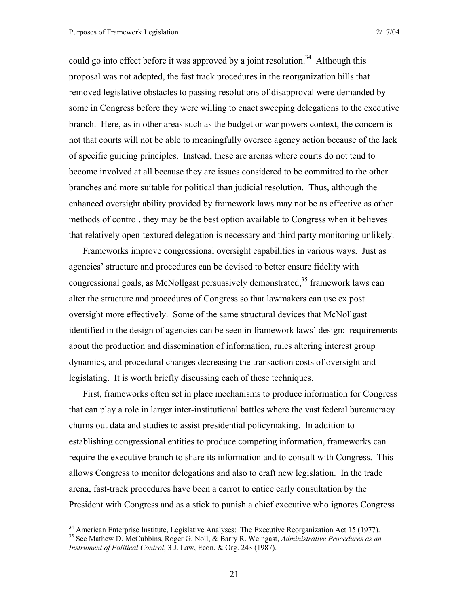1

could go into effect before it was approved by a joint resolution.<sup>34</sup> Although this proposal was not adopted, the fast track procedures in the reorganization bills that removed legislative obstacles to passing resolutions of disapproval were demanded by some in Congress before they were willing to enact sweeping delegations to the executive branch. Here, as in other areas such as the budget or war powers context, the concern is not that courts will not be able to meaningfully oversee agency action because of the lack of specific guiding principles. Instead, these are arenas where courts do not tend to become involved at all because they are issues considered to be committed to the other branches and more suitable for political than judicial resolution. Thus, although the enhanced oversight ability provided by framework laws may not be as effective as other methods of control, they may be the best option available to Congress when it believes that relatively open-textured delegation is necessary and third party monitoring unlikely.

Frameworks improve congressional oversight capabilities in various ways. Just as agencies' structure and procedures can be devised to better ensure fidelity with congressional goals, as McNollgast persuasively demonstrated,  $35$  framework laws can alter the structure and procedures of Congress so that lawmakers can use ex post oversight more effectively. Some of the same structural devices that McNollgast identified in the design of agencies can be seen in framework laws' design: requirements about the production and dissemination of information, rules altering interest group dynamics, and procedural changes decreasing the transaction costs of oversight and legislating. It is worth briefly discussing each of these techniques.

First, frameworks often set in place mechanisms to produce information for Congress that can play a role in larger inter-institutional battles where the vast federal bureaucracy churns out data and studies to assist presidential policymaking. In addition to establishing congressional entities to produce competing information, frameworks can require the executive branch to share its information and to consult with Congress. This allows Congress to monitor delegations and also to craft new legislation. In the trade arena, fast-track procedures have been a carrot to entice early consultation by the President with Congress and as a stick to punish a chief executive who ignores Congress

<sup>34</sup> American Enterprise Institute, Legislative Analyses: The Executive Reorganization Act 15 (1977). 35 See Mathew D. McCubbins, Roger G. Noll, & Barry R. Weingast, *Administrative Procedures as an Instrument of Political Control*, 3 J. Law, Econ. & Org. 243 (1987).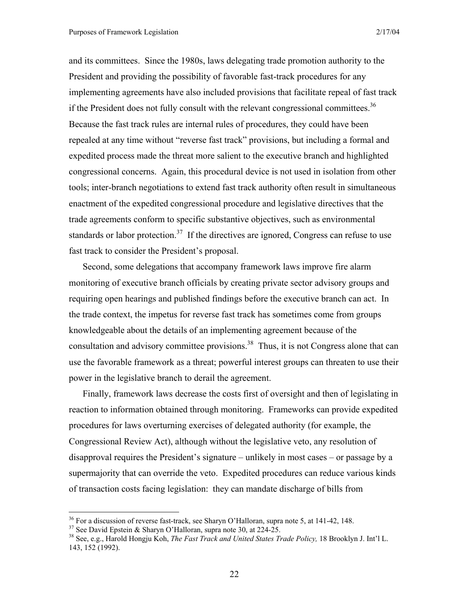and its committees. Since the 1980s, laws delegating trade promotion authority to the President and providing the possibility of favorable fast-track procedures for any implementing agreements have also included provisions that facilitate repeal of fast track if the President does not fully consult with the relevant congressional committees.<sup>36</sup> Because the fast track rules are internal rules of procedures, they could have been repealed at any time without "reverse fast track" provisions, but including a formal and expedited process made the threat more salient to the executive branch and highlighted congressional concerns. Again, this procedural device is not used in isolation from other tools; inter-branch negotiations to extend fast track authority often result in simultaneous enactment of the expedited congressional procedure and legislative directives that the trade agreements conform to specific substantive objectives, such as environmental standards or labor protection.<sup>37</sup> If the directives are ignored, Congress can refuse to use fast track to consider the President's proposal.

Second, some delegations that accompany framework laws improve fire alarm monitoring of executive branch officials by creating private sector advisory groups and requiring open hearings and published findings before the executive branch can act. In the trade context, the impetus for reverse fast track has sometimes come from groups knowledgeable about the details of an implementing agreement because of the consultation and advisory committee provisions.<sup>38</sup> Thus, it is not Congress alone that can use the favorable framework as a threat; powerful interest groups can threaten to use their power in the legislative branch to derail the agreement.

Finally, framework laws decrease the costs first of oversight and then of legislating in reaction to information obtained through monitoring. Frameworks can provide expedited procedures for laws overturning exercises of delegated authority (for example, the Congressional Review Act), although without the legislative veto, any resolution of disapproval requires the President's signature – unlikely in most cases – or passage by a supermajority that can override the veto. Expedited procedures can reduce various kinds of transaction costs facing legislation: they can mandate discharge of bills from

 $36$  For a discussion of reverse fast-track, see Sharyn O'Halloran, supra note 5, at 141-42, 148.

<sup>37</sup> See David Epstein & Sharyn O'Halloran, supra note 30, at 224-25.

<sup>38</sup> See, e.g., Harold Hongju Koh, *The Fast Track and United States Trade Policy,* 18 Brooklyn J. Int'l L. 143, 152 (1992).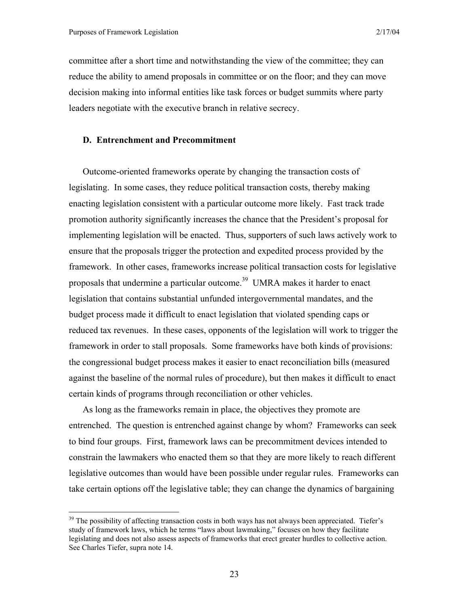$\overline{a}$ 

committee after a short time and notwithstanding the view of the committee; they can reduce the ability to amend proposals in committee or on the floor; and they can move decision making into informal entities like task forces or budget summits where party leaders negotiate with the executive branch in relative secrecy.

#### **D. Entrenchment and Precommitment**

Outcome-oriented frameworks operate by changing the transaction costs of legislating. In some cases, they reduce political transaction costs, thereby making enacting legislation consistent with a particular outcome more likely. Fast track trade promotion authority significantly increases the chance that the President's proposal for implementing legislation will be enacted. Thus, supporters of such laws actively work to ensure that the proposals trigger the protection and expedited process provided by the framework. In other cases, frameworks increase political transaction costs for legislative proposals that undermine a particular outcome.<sup>39</sup> UMRA makes it harder to enact legislation that contains substantial unfunded intergovernmental mandates, and the budget process made it difficult to enact legislation that violated spending caps or reduced tax revenues. In these cases, opponents of the legislation will work to trigger the framework in order to stall proposals. Some frameworks have both kinds of provisions: the congressional budget process makes it easier to enact reconciliation bills (measured against the baseline of the normal rules of procedure), but then makes it difficult to enact certain kinds of programs through reconciliation or other vehicles.

As long as the frameworks remain in place, the objectives they promote are entrenched. The question is entrenched against change by whom? Frameworks can seek to bind four groups. First, framework laws can be precommitment devices intended to constrain the lawmakers who enacted them so that they are more likely to reach different legislative outcomes than would have been possible under regular rules. Frameworks can take certain options off the legislative table; they can change the dynamics of bargaining

<sup>&</sup>lt;sup>39</sup> The possibility of affecting transaction costs in both ways has not always been appreciated. Tiefer's study of framework laws, which he terms "laws about lawmaking," focuses on how they facilitate legislating and does not also assess aspects of frameworks that erect greater hurdles to collective action. See Charles Tiefer, supra note 14.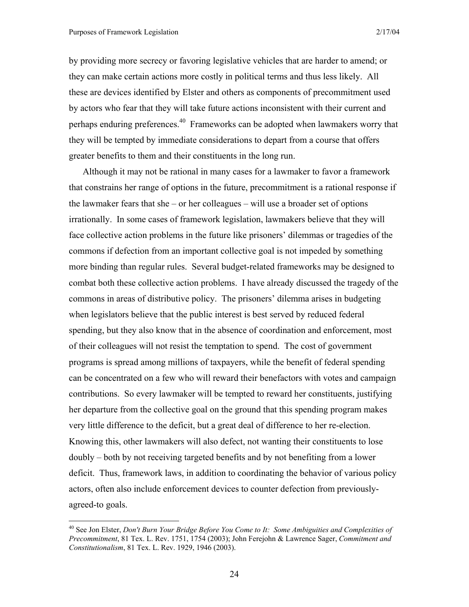$\overline{a}$ 

by providing more secrecy or favoring legislative vehicles that are harder to amend; or they can make certain actions more costly in political terms and thus less likely. All these are devices identified by Elster and others as components of precommitment used by actors who fear that they will take future actions inconsistent with their current and perhaps enduring preferences.40 Frameworks can be adopted when lawmakers worry that they will be tempted by immediate considerations to depart from a course that offers greater benefits to them and their constituents in the long run.

Although it may not be rational in many cases for a lawmaker to favor a framework that constrains her range of options in the future, precommitment is a rational response if the lawmaker fears that she – or her colleagues – will use a broader set of options irrationally. In some cases of framework legislation, lawmakers believe that they will face collective action problems in the future like prisoners' dilemmas or tragedies of the commons if defection from an important collective goal is not impeded by something more binding than regular rules. Several budget-related frameworks may be designed to combat both these collective action problems. I have already discussed the tragedy of the commons in areas of distributive policy. The prisoners' dilemma arises in budgeting when legislators believe that the public interest is best served by reduced federal spending, but they also know that in the absence of coordination and enforcement, most of their colleagues will not resist the temptation to spend. The cost of government programs is spread among millions of taxpayers, while the benefit of federal spending can be concentrated on a few who will reward their benefactors with votes and campaign contributions. So every lawmaker will be tempted to reward her constituents, justifying her departure from the collective goal on the ground that this spending program makes very little difference to the deficit, but a great deal of difference to her re-election. Knowing this, other lawmakers will also defect, not wanting their constituents to lose doubly – both by not receiving targeted benefits and by not benefiting from a lower deficit. Thus, framework laws, in addition to coordinating the behavior of various policy actors, often also include enforcement devices to counter defection from previouslyagreed-to goals.

<sup>40</sup> See Jon Elster, *Don't Burn Your Bridge Before You Come to It: Some Ambiguities and Complexities of Precommitment*, 81 Tex. L. Rev. 1751, 1754 (2003); John Ferejohn & Lawrence Sager, *Commitment and Constitutionalism*, 81 Tex. L. Rev. 1929, 1946 (2003).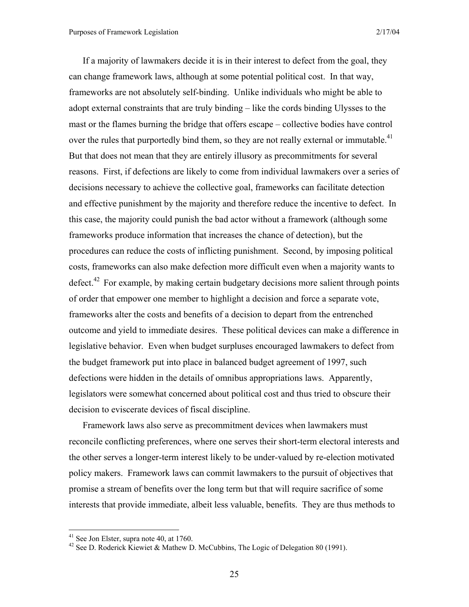If a majority of lawmakers decide it is in their interest to defect from the goal, they can change framework laws, although at some potential political cost. In that way, frameworks are not absolutely self-binding. Unlike individuals who might be able to adopt external constraints that are truly binding – like the cords binding Ulysses to the mast or the flames burning the bridge that offers escape – collective bodies have control over the rules that purportedly bind them, so they are not really external or immutable.<sup>41</sup> But that does not mean that they are entirely illusory as precommitments for several reasons. First, if defections are likely to come from individual lawmakers over a series of decisions necessary to achieve the collective goal, frameworks can facilitate detection and effective punishment by the majority and therefore reduce the incentive to defect. In this case, the majority could punish the bad actor without a framework (although some frameworks produce information that increases the chance of detection), but the procedures can reduce the costs of inflicting punishment. Second, by imposing political costs, frameworks can also make defection more difficult even when a majority wants to defect.<sup>42</sup> For example, by making certain budgetary decisions more salient through points of order that empower one member to highlight a decision and force a separate vote, frameworks alter the costs and benefits of a decision to depart from the entrenched outcome and yield to immediate desires. These political devices can make a difference in legislative behavior. Even when budget surpluses encouraged lawmakers to defect from the budget framework put into place in balanced budget agreement of 1997, such defections were hidden in the details of omnibus appropriations laws. Apparently, legislators were somewhat concerned about political cost and thus tried to obscure their decision to eviscerate devices of fiscal discipline.

Framework laws also serve as precommitment devices when lawmakers must reconcile conflicting preferences, where one serves their short-term electoral interests and the other serves a longer-term interest likely to be under-valued by re-election motivated policy makers. Framework laws can commit lawmakers to the pursuit of objectives that promise a stream of benefits over the long term but that will require sacrifice of some interests that provide immediate, albeit less valuable, benefits. They are thus methods to

 $41$  See Jon Elster, supra note 40, at 1760.

<sup>&</sup>lt;sup>42</sup> See D. Roderick Kiewiet & Mathew D. McCubbins, The Logic of Delegation 80 (1991).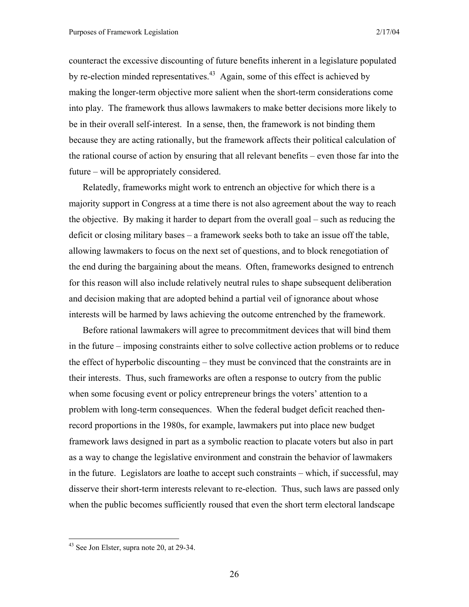counteract the excessive discounting of future benefits inherent in a legislature populated by re-election minded representatives.<sup>43</sup> Again, some of this effect is achieved by making the longer-term objective more salient when the short-term considerations come into play. The framework thus allows lawmakers to make better decisions more likely to be in their overall self-interest. In a sense, then, the framework is not binding them because they are acting rationally, but the framework affects their political calculation of the rational course of action by ensuring that all relevant benefits – even those far into the future – will be appropriately considered.

Relatedly, frameworks might work to entrench an objective for which there is a majority support in Congress at a time there is not also agreement about the way to reach the objective. By making it harder to depart from the overall goal – such as reducing the deficit or closing military bases – a framework seeks both to take an issue off the table, allowing lawmakers to focus on the next set of questions, and to block renegotiation of the end during the bargaining about the means. Often, frameworks designed to entrench for this reason will also include relatively neutral rules to shape subsequent deliberation and decision making that are adopted behind a partial veil of ignorance about whose interests will be harmed by laws achieving the outcome entrenched by the framework.

Before rational lawmakers will agree to precommitment devices that will bind them in the future – imposing constraints either to solve collective action problems or to reduce the effect of hyperbolic discounting – they must be convinced that the constraints are in their interests. Thus, such frameworks are often a response to outcry from the public when some focusing event or policy entrepreneur brings the voters' attention to a problem with long-term consequences. When the federal budget deficit reached thenrecord proportions in the 1980s, for example, lawmakers put into place new budget framework laws designed in part as a symbolic reaction to placate voters but also in part as a way to change the legislative environment and constrain the behavior of lawmakers in the future. Legislators are loathe to accept such constraints – which, if successful, may disserve their short-term interests relevant to re-election. Thus, such laws are passed only when the public becomes sufficiently roused that even the short term electoral landscape

 $43$  See Jon Elster, supra note 20, at 29-34.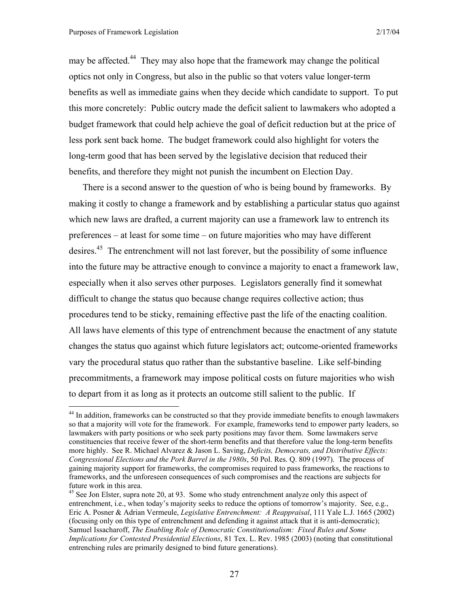$\overline{a}$ 

may be affected.<sup>44</sup> They may also hope that the framework may change the political optics not only in Congress, but also in the public so that voters value longer-term benefits as well as immediate gains when they decide which candidate to support. To put this more concretely: Public outcry made the deficit salient to lawmakers who adopted a budget framework that could help achieve the goal of deficit reduction but at the price of less pork sent back home. The budget framework could also highlight for voters the long-term good that has been served by the legislative decision that reduced their benefits, and therefore they might not punish the incumbent on Election Day.

There is a second answer to the question of who is being bound by frameworks. By making it costly to change a framework and by establishing a particular status quo against which new laws are drafted, a current majority can use a framework law to entrench its preferences – at least for some time – on future majorities who may have different desires.<sup>45</sup> The entrenchment will not last forever, but the possibility of some influence into the future may be attractive enough to convince a majority to enact a framework law, especially when it also serves other purposes. Legislators generally find it somewhat difficult to change the status quo because change requires collective action; thus procedures tend to be sticky, remaining effective past the life of the enacting coalition. All laws have elements of this type of entrenchment because the enactment of any statute changes the status quo against which future legislators act; outcome-oriented frameworks vary the procedural status quo rather than the substantive baseline. Like self-binding precommitments, a framework may impose political costs on future majorities who wish to depart from it as long as it protects an outcome still salient to the public. If

<sup>&</sup>lt;sup>44</sup> In addition, frameworks can be constructed so that they provide immediate benefits to enough lawmakers so that a majority will vote for the framework. For example, frameworks tend to empower party leaders, so lawmakers with party positions or who seek party positions may favor them. Some lawmakers serve constituencies that receive fewer of the short-term benefits and that therefore value the long-term benefits more highly. See R. Michael Alvarez & Jason L. Saving, *Deficits, Democrats, and Distributive Effects: Congressional Elections and the Pork Barrel in the 1980s*, 50 Pol. Res. Q. 809 (1997). The process of gaining majority support for frameworks, the compromises required to pass frameworks, the reactions to frameworks, and the unforeseen consequences of such compromises and the reactions are subjects for future work in this area.

<sup>&</sup>lt;sup>45</sup> See Jon Elster, supra note 20, at 93. Some who study entrenchment analyze only this aspect of entrenchment, i.e., when today's majority seeks to reduce the options of tomorrow's majority. See, e.g., Eric A. Posner & Adrian Vermeule, *Legislative Entrenchment: A Reappraisal*, 111 Yale L.J. 1665 (2002) (focusing only on this type of entrenchment and defending it against attack that it is anti-democratic); Samuel Issacharoff, *The Enabling Role of Democratic Constitutionalism: Fixed Rules and Some Implications for Contested Presidential Elections*, 81 Tex. L. Rev. 1985 (2003) (noting that constitutional entrenching rules are primarily designed to bind future generations).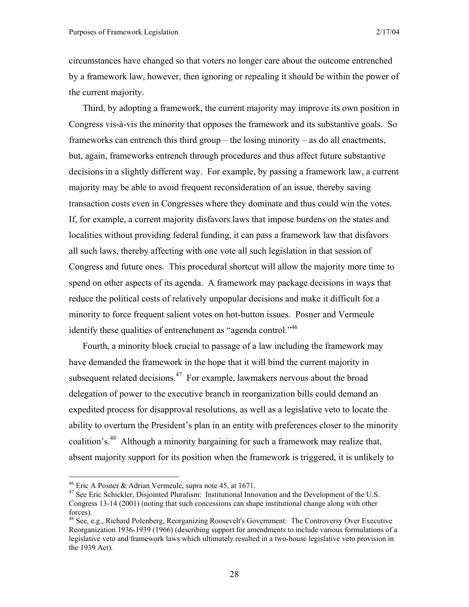circumstances have changed so that voters no longer care about the outcome entrenched by a framework law, however, then ignoring or repealing it should be within the power of the current majority.

Third, by adopting a framework, the current majority may improve its own position in Congress vis-à-vis the minority that opposes the framework and its substantive goals. So frameworks can entrench this third group – the losing minority – as do all enactments, but, again, frameworks entrench through procedures and thus affect future substantive decisions in a slightly different way. For example, by passing a framework law, a current majority may be able to avoid frequent reconsideration of an issue, thereby saving transaction costs even in Congresses where they dominate and thus could win the votes. If, for example, a current majority disfavors laws that impose burdens on the states and localities without providing federal funding, it can pass a framework law that disfavors all such laws, thereby affecting with one vote all such legislation in that session of Congress and future ones. This procedural shortcut will allow the majority more time to spend on other aspects of its agenda. A framework may package decisions in ways that reduce the political costs of relatively unpopular decisions and make it difficult for a minority to force frequent salient votes on hot-button issues. Posner and Vermeule identify these qualities of entrenchment as "agenda control."<sup>46</sup>

Fourth, a minority block crucial to passage of a law including the framework may have demanded the framework in the hope that it will bind the current majority in subsequent related decisions.<sup>47</sup> For example, lawmakers nervous about the broad delegation of power to the executive branch in reorganization bills could demand an expedited process for disapproval resolutions, as well as a legislative veto to locate the ability to overturn the President's plan in an entity with preferences closer to the minority coalition's.48 Although a minority bargaining for such a framework may realize that, absent majority support for its position when the framework is triggered, it is unlikely to

<sup>&</sup>lt;sup>46</sup> Eric A Posner & Adrian Vermeule, supra note 45, at 1671.

<sup>&</sup>lt;sup>47</sup> See Eric Schickler, Disjointed Pluralism: Institutional Innovation and the Development of the U.S. Congress 13-14 (2001) (noting that such concessions can shape institutional change along with other forces).

<sup>&</sup>lt;sup>48</sup> See, e.g., Richard Polenberg, Reorganizing Roosevelt's Government: The Controversy Over Executive Reorganization 1936-1939 (1966) (describing support for amendments to include various formulations of a legislative veto and framework laws which ultimately resulted in a two-house legislative veto provision in the 1939 Act).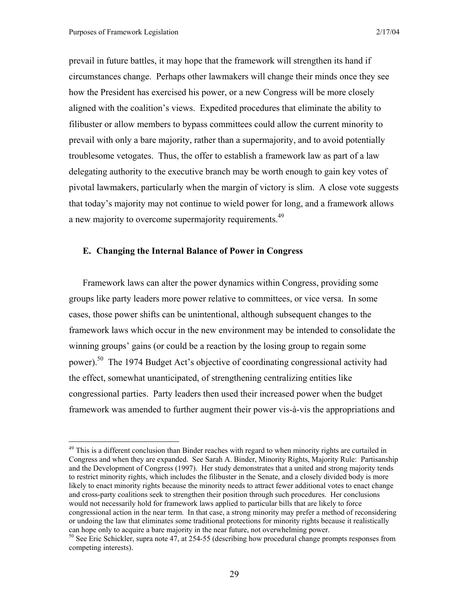$\overline{a}$ 

prevail in future battles, it may hope that the framework will strengthen its hand if circumstances change. Perhaps other lawmakers will change their minds once they see how the President has exercised his power, or a new Congress will be more closely aligned with the coalition's views. Expedited procedures that eliminate the ability to filibuster or allow members to bypass committees could allow the current minority to prevail with only a bare majority, rather than a supermajority, and to avoid potentially troublesome vetogates. Thus, the offer to establish a framework law as part of a law delegating authority to the executive branch may be worth enough to gain key votes of pivotal lawmakers, particularly when the margin of victory is slim. A close vote suggests that today's majority may not continue to wield power for long, and a framework allows a new majority to overcome supermajority requirements.<sup>49</sup>

#### **E. Changing the Internal Balance of Power in Congress**

Framework laws can alter the power dynamics within Congress, providing some groups like party leaders more power relative to committees, or vice versa. In some cases, those power shifts can be unintentional, although subsequent changes to the framework laws which occur in the new environment may be intended to consolidate the winning groups' gains (or could be a reaction by the losing group to regain some power).<sup>50</sup> The 1974 Budget Act's objective of coordinating congressional activity had the effect, somewhat unanticipated, of strengthening centralizing entities like congressional parties. Party leaders then used their increased power when the budget framework was amended to further augment their power vis-à-vis the appropriations and

<sup>&</sup>lt;sup>49</sup> This is a different conclusion than Binder reaches with regard to when minority rights are curtailed in Congress and when they are expanded. See Sarah A. Binder, Minority Rights, Majority Rule: Partisanship and the Development of Congress (1997). Her study demonstrates that a united and strong majority tends to restrict minority rights, which includes the filibuster in the Senate, and a closely divided body is more likely to enact minority rights because the minority needs to attract fewer additional votes to enact change and cross-party coalitions seek to strengthen their position through such procedures. Her conclusions would not necessarily hold for framework laws applied to particular bills that are likely to force congressional action in the near term. In that case, a strong minority may prefer a method of reconsidering or undoing the law that eliminates some traditional protections for minority rights because it realistically can hope only to acquire a bare majority in the near future, not overwhelming power.

<sup>&</sup>lt;sup>50</sup> See Eric Schickler, supra note 47, at 254-55 (describing how procedural change prompts responses from competing interests).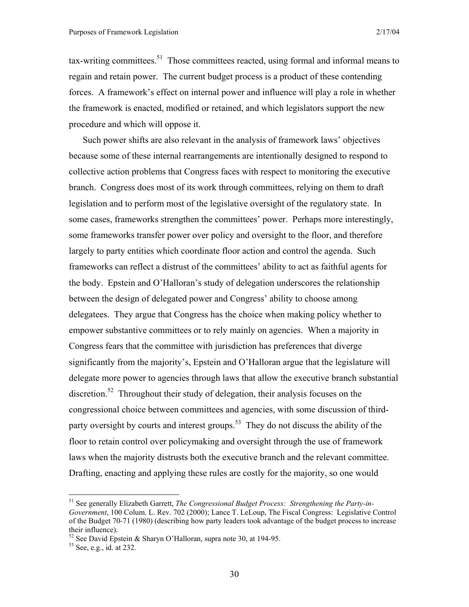$\alpha$ -writing committees.<sup>51</sup> Those committees reacted, using formal and informal means to regain and retain power. The current budget process is a product of these contending forces. A framework's effect on internal power and influence will play a role in whether the framework is enacted, modified or retained, and which legislators support the new procedure and which will oppose it.

Such power shifts are also relevant in the analysis of framework laws' objectives because some of these internal rearrangements are intentionally designed to respond to collective action problems that Congress faces with respect to monitoring the executive branch. Congress does most of its work through committees, relying on them to draft legislation and to perform most of the legislative oversight of the regulatory state. In some cases, frameworks strengthen the committees' power. Perhaps more interestingly, some frameworks transfer power over policy and oversight to the floor, and therefore largely to party entities which coordinate floor action and control the agenda. Such frameworks can reflect a distrust of the committees' ability to act as faithful agents for the body. Epstein and O'Halloran's study of delegation underscores the relationship between the design of delegated power and Congress' ability to choose among delegatees. They argue that Congress has the choice when making policy whether to empower substantive committees or to rely mainly on agencies. When a majority in Congress fears that the committee with jurisdiction has preferences that diverge significantly from the majority's, Epstein and O'Halloran argue that the legislature will delegate more power to agencies through laws that allow the executive branch substantial discretion.<sup>52</sup> Throughout their study of delegation, their analysis focuses on the congressional choice between committees and agencies, with some discussion of thirdparty oversight by courts and interest groups.<sup>53</sup> They do not discuss the ability of the floor to retain control over policymaking and oversight through the use of framework laws when the majority distrusts both the executive branch and the relevant committee. Drafting, enacting and applying these rules are costly for the majority, so one would

<sup>51</sup> See generally Elizabeth Garrett, *The Congressional Budget Process: Strengthening the Party-in-Government*, 100 Colum. L. Rev. 702 (2000); Lance T. LeLoup, The Fiscal Congress: Legislative Control of the Budget 70-71 (1980) (describing how party leaders took advantage of the budget process to increase their influence).

<sup>&</sup>lt;sup>52</sup> See David Epstein & Sharyn O'Halloran, supra note 30, at 194-95.

<sup>53</sup> See, e.g., id. at 232.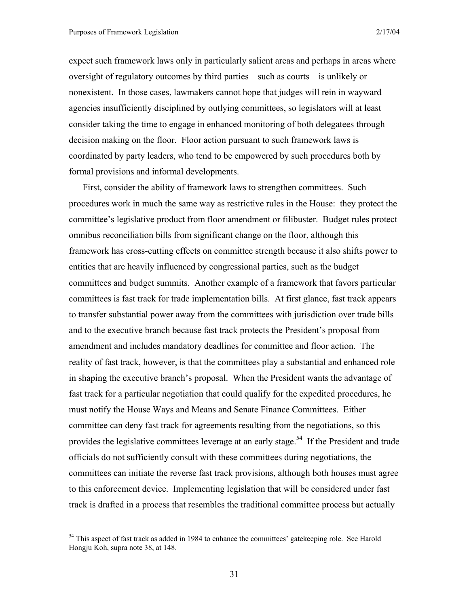1

expect such framework laws only in particularly salient areas and perhaps in areas where oversight of regulatory outcomes by third parties – such as courts – is unlikely or nonexistent. In those cases, lawmakers cannot hope that judges will rein in wayward agencies insufficiently disciplined by outlying committees, so legislators will at least consider taking the time to engage in enhanced monitoring of both delegatees through decision making on the floor. Floor action pursuant to such framework laws is coordinated by party leaders, who tend to be empowered by such procedures both by formal provisions and informal developments.

First, consider the ability of framework laws to strengthen committees. Such procedures work in much the same way as restrictive rules in the House: they protect the committee's legislative product from floor amendment or filibuster. Budget rules protect omnibus reconciliation bills from significant change on the floor, although this framework has cross-cutting effects on committee strength because it also shifts power to entities that are heavily influenced by congressional parties, such as the budget committees and budget summits. Another example of a framework that favors particular committees is fast track for trade implementation bills. At first glance, fast track appears to transfer substantial power away from the committees with jurisdiction over trade bills and to the executive branch because fast track protects the President's proposal from amendment and includes mandatory deadlines for committee and floor action. The reality of fast track, however, is that the committees play a substantial and enhanced role in shaping the executive branch's proposal. When the President wants the advantage of fast track for a particular negotiation that could qualify for the expedited procedures, he must notify the House Ways and Means and Senate Finance Committees. Either committee can deny fast track for agreements resulting from the negotiations, so this provides the legislative committees leverage at an early stage.<sup>54</sup> If the President and trade officials do not sufficiently consult with these committees during negotiations, the committees can initiate the reverse fast track provisions, although both houses must agree to this enforcement device. Implementing legislation that will be considered under fast track is drafted in a process that resembles the traditional committee process but actually

 $54$  This aspect of fast track as added in 1984 to enhance the committees' gatekeeping role. See Harold Hongju Koh, supra note 38, at 148.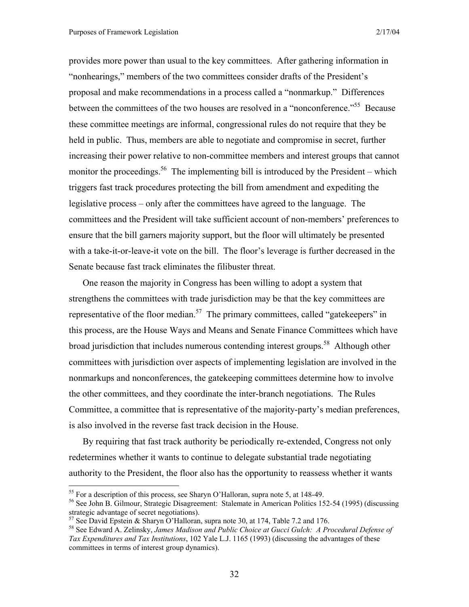provides more power than usual to the key committees. After gathering information in "nonhearings," members of the two committees consider drafts of the President's proposal and make recommendations in a process called a "nonmarkup." Differences between the committees of the two houses are resolved in a "nonconference."<sup>55</sup> Because these committee meetings are informal, congressional rules do not require that they be held in public. Thus, members are able to negotiate and compromise in secret, further increasing their power relative to non-committee members and interest groups that cannot monitor the proceedings.<sup>56</sup> The implementing bill is introduced by the President – which triggers fast track procedures protecting the bill from amendment and expediting the legislative process – only after the committees have agreed to the language. The committees and the President will take sufficient account of non-members' preferences to ensure that the bill garners majority support, but the floor will ultimately be presented with a take-it-or-leave-it vote on the bill. The floor's leverage is further decreased in the Senate because fast track eliminates the filibuster threat.

One reason the majority in Congress has been willing to adopt a system that strengthens the committees with trade jurisdiction may be that the key committees are representative of the floor median.<sup>57</sup> The primary committees, called "gatekeepers" in this process, are the House Ways and Means and Senate Finance Committees which have broad jurisdiction that includes numerous contending interest groups.<sup>58</sup> Although other committees with jurisdiction over aspects of implementing legislation are involved in the nonmarkups and nonconferences, the gatekeeping committees determine how to involve the other committees, and they coordinate the inter-branch negotiations. The Rules Committee, a committee that is representative of the majority-party's median preferences, is also involved in the reverse fast track decision in the House.

By requiring that fast track authority be periodically re-extended, Congress not only redetermines whether it wants to continue to delegate substantial trade negotiating authority to the President, the floor also has the opportunity to reassess whether it wants

 $55$  For a description of this process, see Sharyn O'Halloran, supra note 5, at 148-49.

<sup>56</sup> See John B. Gilmour, Strategic Disagreement: Stalemate in American Politics 152-54 (1995) (discussing strategic advantage of secret negotiations).

 $57$  See David Epstein & Sharyn O'Halloran, supra note 30, at 174, Table 7.2 and 176.

<sup>58</sup> See Edward A. Zelinsky, *James Madison and Public Choice at Gucci Gulch: A Procedural Defense of Tax Expenditures and Tax Institutions*, 102 Yale L.J. 1165 (1993) (discussing the advantages of these committees in terms of interest group dynamics).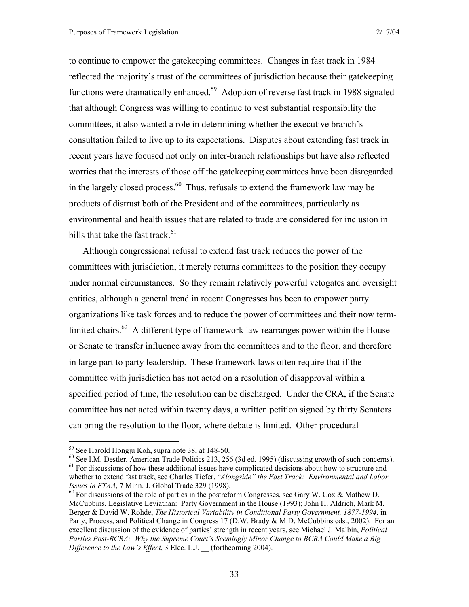to continue to empower the gatekeeping committees. Changes in fast track in 1984 reflected the majority's trust of the committees of jurisdiction because their gatekeeping functions were dramatically enhanced.<sup>59</sup> Adoption of reverse fast track in 1988 signaled that although Congress was willing to continue to vest substantial responsibility the committees, it also wanted a role in determining whether the executive branch's consultation failed to live up to its expectations. Disputes about extending fast track in recent years have focused not only on inter-branch relationships but have also reflected worries that the interests of those off the gatekeeping committees have been disregarded in the largely closed process. $60$  Thus, refusals to extend the framework law may be products of distrust both of the President and of the committees, particularly as environmental and health issues that are related to trade are considered for inclusion in bills that take the fast track.<sup>61</sup>

Although congressional refusal to extend fast track reduces the power of the committees with jurisdiction, it merely returns committees to the position they occupy under normal circumstances. So they remain relatively powerful vetogates and oversight entities, although a general trend in recent Congresses has been to empower party organizations like task forces and to reduce the power of committees and their now termlimited chairs.<sup>62</sup> A different type of framework law rearranges power within the House or Senate to transfer influence away from the committees and to the floor, and therefore in large part to party leadership. These framework laws often require that if the committee with jurisdiction has not acted on a resolution of disapproval within a specified period of time, the resolution can be discharged. Under the CRA, if the Senate committee has not acted within twenty days, a written petition signed by thirty Senators can bring the resolution to the floor, where debate is limited. Other procedural

<sup>59</sup> See Harold Hongju Koh, supra note 38, at 148-50.

 $^{60}$  See I.M. Destler, American Trade Politics 213, 256 (3d ed. 1995) (discussing growth of such concerns).  $^{61}$  For discussions of how these additional issues have complicated decisions about how to structure and whether to extend fast track, see Charles Tiefer, "*Alongside" the Fast Track: Environmental and Labor Issues in FTAA*, 7 Minn. J. Global Trade 329 (1998).<br><sup>62</sup> For discussions of the role of parties in the postreform Congresses, see Gary W. Cox & Mathew D.

McCubbins, Legislative Leviathan: Party Government in the House (1993); John H. Aldrich, Mark M. Berger & David W. Rohde, *The Historical Variability in Conditional Party Government, 1877-1994*, in Party, Process, and Political Change in Congress 17 (D.W. Brady & M.D. McCubbins eds., 2002). For an excellent discussion of the evidence of parties' strength in recent years, see Michael J. Malbin, *Political Parties Post-BCRA: Why the Supreme Court's Seemingly Minor Change to BCRA Could Make a Big Difference to the Law's Effect*, 3 Elec. L.J. \_\_ (forthcoming 2004).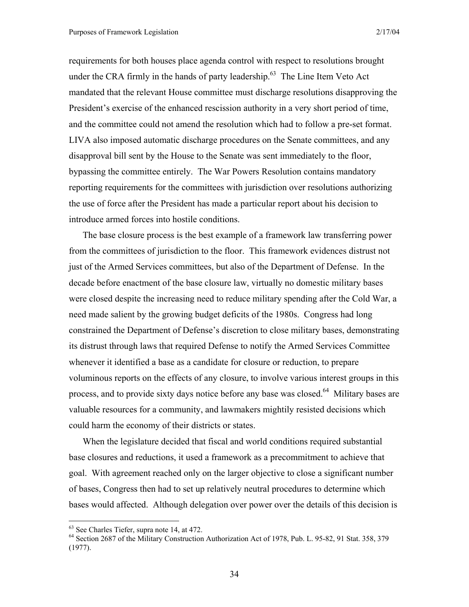requirements for both houses place agenda control with respect to resolutions brought under the CRA firmly in the hands of party leadership.<sup>63</sup> The Line Item Veto Act mandated that the relevant House committee must discharge resolutions disapproving the President's exercise of the enhanced rescission authority in a very short period of time, and the committee could not amend the resolution which had to follow a pre-set format. LIVA also imposed automatic discharge procedures on the Senate committees, and any disapproval bill sent by the House to the Senate was sent immediately to the floor, bypassing the committee entirely. The War Powers Resolution contains mandatory reporting requirements for the committees with jurisdiction over resolutions authorizing the use of force after the President has made a particular report about his decision to introduce armed forces into hostile conditions.

The base closure process is the best example of a framework law transferring power from the committees of jurisdiction to the floor. This framework evidences distrust not just of the Armed Services committees, but also of the Department of Defense. In the decade before enactment of the base closure law, virtually no domestic military bases were closed despite the increasing need to reduce military spending after the Cold War, a need made salient by the growing budget deficits of the 1980s. Congress had long constrained the Department of Defense's discretion to close military bases, demonstrating its distrust through laws that required Defense to notify the Armed Services Committee whenever it identified a base as a candidate for closure or reduction, to prepare voluminous reports on the effects of any closure, to involve various interest groups in this process, and to provide sixty days notice before any base was closed.<sup>64</sup> Military bases are valuable resources for a community, and lawmakers mightily resisted decisions which could harm the economy of their districts or states.

When the legislature decided that fiscal and world conditions required substantial base closures and reductions, it used a framework as a precommitment to achieve that goal. With agreement reached only on the larger objective to close a significant number of bases, Congress then had to set up relatively neutral procedures to determine which bases would affected. Although delegation over power over the details of this decision is

<sup>63</sup> See Charles Tiefer, supra note 14, at 472.

<sup>64</sup> Section 2687 of the Military Construction Authorization Act of 1978, Pub. L. 95-82, 91 Stat. 358, 379 (1977).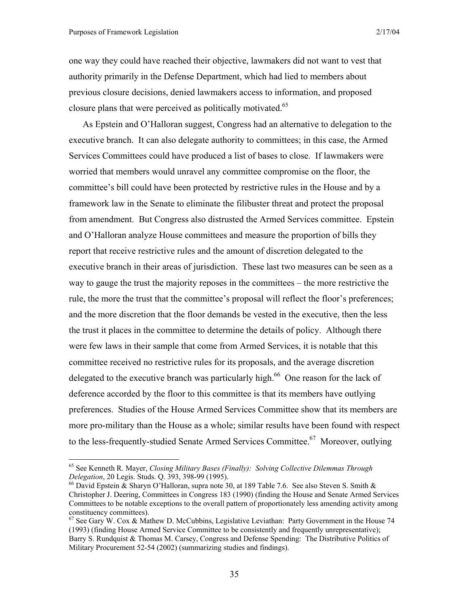$\overline{a}$ 

one way they could have reached their objective, lawmakers did not want to vest that authority primarily in the Defense Department, which had lied to members about previous closure decisions, denied lawmakers access to information, and proposed closure plans that were perceived as politically motivated.<sup>65</sup>

As Epstein and O'Halloran suggest, Congress had an alternative to delegation to the executive branch. It can also delegate authority to committees; in this case, the Armed Services Committees could have produced a list of bases to close. If lawmakers were worried that members would unravel any committee compromise on the floor, the committee's bill could have been protected by restrictive rules in the House and by a framework law in the Senate to eliminate the filibuster threat and protect the proposal from amendment. But Congress also distrusted the Armed Services committee. Epstein and O'Halloran analyze House committees and measure the proportion of bills they report that receive restrictive rules and the amount of discretion delegated to the executive branch in their areas of jurisdiction. These last two measures can be seen as a way to gauge the trust the majority reposes in the committees – the more restrictive the rule, the more the trust that the committee's proposal will reflect the floor's preferences; and the more discretion that the floor demands be vested in the executive, then the less the trust it places in the committee to determine the details of policy. Although there were few laws in their sample that come from Armed Services, it is notable that this committee received no restrictive rules for its proposals, and the average discretion delegated to the executive branch was particularly high.<sup>66</sup> One reason for the lack of deference accorded by the floor to this committee is that its members have outlying preferences. Studies of the House Armed Services Committee show that its members are more pro-military than the House as a whole; similar results have been found with respect to the less-frequently-studied Senate Armed Services Committee.<sup>67</sup> Moreover, outlying

<sup>65</sup> See Kenneth R. Mayer, *Closing Military Bases (Finally): Solving Collective Dilemmas Through Delegation*, 20 Legis. Studs. Q. 393, 398-99 (1995).<br><sup>66</sup> David Epstein & Sharyn O'Halloran, supra note 30, at 189 Table 7.6. See also Steven S. Smith &

Christopher J. Deering, Committees in Congress 183 (1990) (finding the House and Senate Armed Services Committees to be notable exceptions to the overall pattern of proportionately less amending activity among constituency committees).

 $67$  See Gary W. Cox & Mathew D. McCubbins, Legislative Leviathan: Party Government in the House 74 (1993) (finding House Armed Service Committee to be consistently and frequently unrepresentative); Barry S. Rundquist & Thomas M. Carsey, Congress and Defense Spending: The Distributive Politics of Military Procurement 52-54 (2002) (summarizing studies and findings).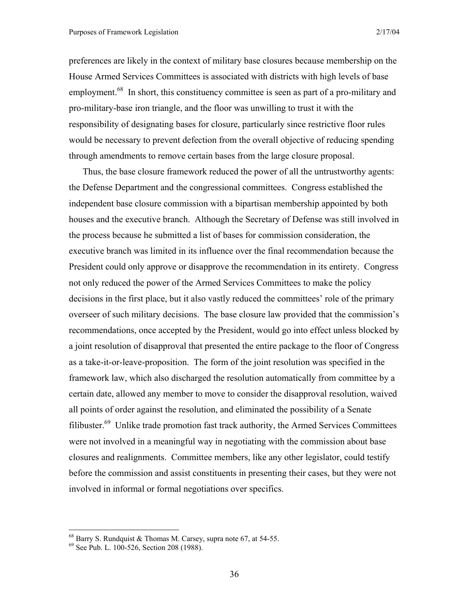preferences are likely in the context of military base closures because membership on the House Armed Services Committees is associated with districts with high levels of base employment.<sup>68</sup> In short, this constituency committee is seen as part of a pro-military and pro-military-base iron triangle, and the floor was unwilling to trust it with the responsibility of designating bases for closure, particularly since restrictive floor rules would be necessary to prevent defection from the overall objective of reducing spending through amendments to remove certain bases from the large closure proposal.

Thus, the base closure framework reduced the power of all the untrustworthy agents: the Defense Department and the congressional committees. Congress established the independent base closure commission with a bipartisan membership appointed by both houses and the executive branch. Although the Secretary of Defense was still involved in the process because he submitted a list of bases for commission consideration, the executive branch was limited in its influence over the final recommendation because the President could only approve or disapprove the recommendation in its entirety. Congress not only reduced the power of the Armed Services Committees to make the policy decisions in the first place, but it also vastly reduced the committees' role of the primary overseer of such military decisions. The base closure law provided that the commission's recommendations, once accepted by the President, would go into effect unless blocked by a joint resolution of disapproval that presented the entire package to the floor of Congress as a take-it-or-leave-proposition. The form of the joint resolution was specified in the framework law, which also discharged the resolution automatically from committee by a certain date, allowed any member to move to consider the disapproval resolution, waived all points of order against the resolution, and eliminated the possibility of a Senate filibuster.<sup>69</sup> Unlike trade promotion fast track authority, the Armed Services Committees were not involved in a meaningful way in negotiating with the commission about base closures and realignments. Committee members, like any other legislator, could testify before the commission and assist constituents in presenting their cases, but they were not involved in informal or formal negotiations over specifics.

 $68$  Barry S. Rundquist & Thomas M. Carsey, supra note 67, at 54-55.

<sup>69</sup> See Pub. L. 100-526, Section 208 (1988).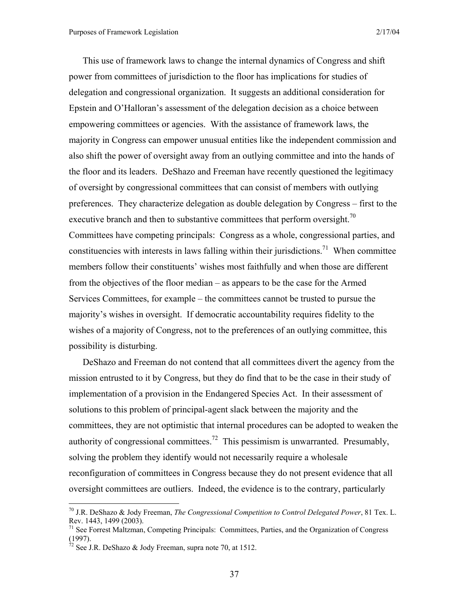This use of framework laws to change the internal dynamics of Congress and shift power from committees of jurisdiction to the floor has implications for studies of delegation and congressional organization. It suggests an additional consideration for Epstein and O'Halloran's assessment of the delegation decision as a choice between empowering committees or agencies. With the assistance of framework laws, the majority in Congress can empower unusual entities like the independent commission and also shift the power of oversight away from an outlying committee and into the hands of the floor and its leaders. DeShazo and Freeman have recently questioned the legitimacy of oversight by congressional committees that can consist of members with outlying preferences. They characterize delegation as double delegation by Congress – first to the executive branch and then to substantive committees that perform oversight.<sup>70</sup> Committees have competing principals: Congress as a whole, congressional parties, and constituencies with interests in laws falling within their jurisdictions.<sup>71</sup> When committee members follow their constituents' wishes most faithfully and when those are different from the objectives of the floor median – as appears to be the case for the Armed Services Committees, for example – the committees cannot be trusted to pursue the majority's wishes in oversight. If democratic accountability requires fidelity to the wishes of a majority of Congress, not to the preferences of an outlying committee, this possibility is disturbing.

DeShazo and Freeman do not contend that all committees divert the agency from the mission entrusted to it by Congress, but they do find that to be the case in their study of implementation of a provision in the Endangered Species Act. In their assessment of solutions to this problem of principal-agent slack between the majority and the committees, they are not optimistic that internal procedures can be adopted to weaken the authority of congressional committees.<sup>72</sup> This pessimism is unwarranted. Presumably, solving the problem they identify would not necessarily require a wholesale reconfiguration of committees in Congress because they do not present evidence that all oversight committees are outliers. Indeed, the evidence is to the contrary, particularly

<sup>70</sup> J.R. DeShazo & Jody Freeman, *The Congressional Competition to Control Delegated Power*, 81 Tex. L. Rev. 1443, 1499 (2003).

<sup>&</sup>lt;sup>71</sup> See Forrest Maltzman, Competing Principals: Committees, Parties, and the Organization of Congress (1997).

 $\frac{72}{2}$  See J.R. DeShazo & Jody Freeman, supra note 70, at 1512.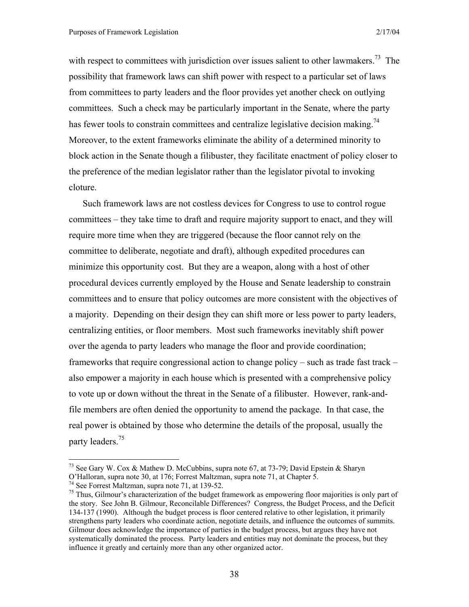with respect to committees with jurisdiction over issues salient to other lawmakers.<sup>73</sup> The possibility that framework laws can shift power with respect to a particular set of laws from committees to party leaders and the floor provides yet another check on outlying committees. Such a check may be particularly important in the Senate, where the party has fewer tools to constrain committees and centralize legislative decision making.<sup>74</sup> Moreover, to the extent frameworks eliminate the ability of a determined minority to block action in the Senate though a filibuster, they facilitate enactment of policy closer to the preference of the median legislator rather than the legislator pivotal to invoking cloture.

Such framework laws are not costless devices for Congress to use to control rogue committees – they take time to draft and require majority support to enact, and they will require more time when they are triggered (because the floor cannot rely on the committee to deliberate, negotiate and draft), although expedited procedures can minimize this opportunity cost. But they are a weapon, along with a host of other procedural devices currently employed by the House and Senate leadership to constrain committees and to ensure that policy outcomes are more consistent with the objectives of a majority. Depending on their design they can shift more or less power to party leaders, centralizing entities, or floor members. Most such frameworks inevitably shift power over the agenda to party leaders who manage the floor and provide coordination; frameworks that require congressional action to change policy – such as trade fast track – also empower a majority in each house which is presented with a comprehensive policy to vote up or down without the threat in the Senate of a filibuster. However, rank-andfile members are often denied the opportunity to amend the package. In that case, the real power is obtained by those who determine the details of the proposal, usually the party leaders.<sup>75</sup>

<sup>&</sup>lt;sup>73</sup> See Gary W. Cox & Mathew D. McCubbins, supra note 67, at 73-79; David Epstein & Sharyn

O'Halloran, supra note 30, at 176; Forrest Maltzman, supra note 71, at Chapter 5.

<sup>74</sup> See Forrest Maltzman, supra note 71, at 139-52.

 $75$  Thus, Gilmour's characterization of the budget framework as empowering floor majorities is only part of the story. See John B. Gilmour, Reconcilable Differences? Congress, the Budget Process, and the Deficit 134-137 (1990). Although the budget process is floor centered relative to other legislation, it primarily strengthens party leaders who coordinate action, negotiate details, and influence the outcomes of summits. Gilmour does acknowledge the importance of parties in the budget process, but argues they have not systematically dominated the process. Party leaders and entities may not dominate the process, but they influence it greatly and certainly more than any other organized actor.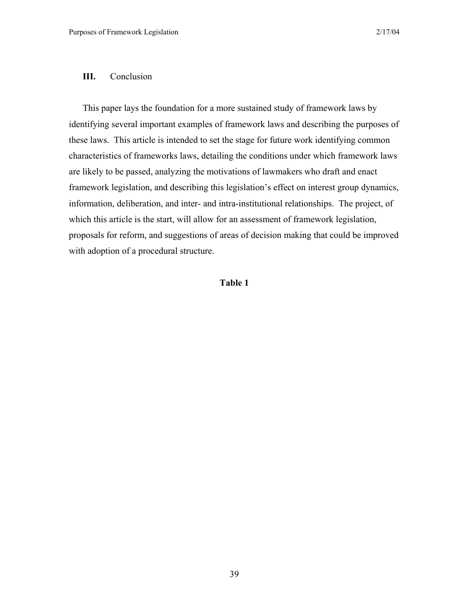## **III.** Conclusion

This paper lays the foundation for a more sustained study of framework laws by identifying several important examples of framework laws and describing the purposes of these laws. This article is intended to set the stage for future work identifying common characteristics of frameworks laws, detailing the conditions under which framework laws are likely to be passed, analyzing the motivations of lawmakers who draft and enact framework legislation, and describing this legislation's effect on interest group dynamics, information, deliberation, and inter- and intra-institutional relationships. The project, of which this article is the start, will allow for an assessment of framework legislation, proposals for reform, and suggestions of areas of decision making that could be improved with adoption of a procedural structure.

## **Table 1**